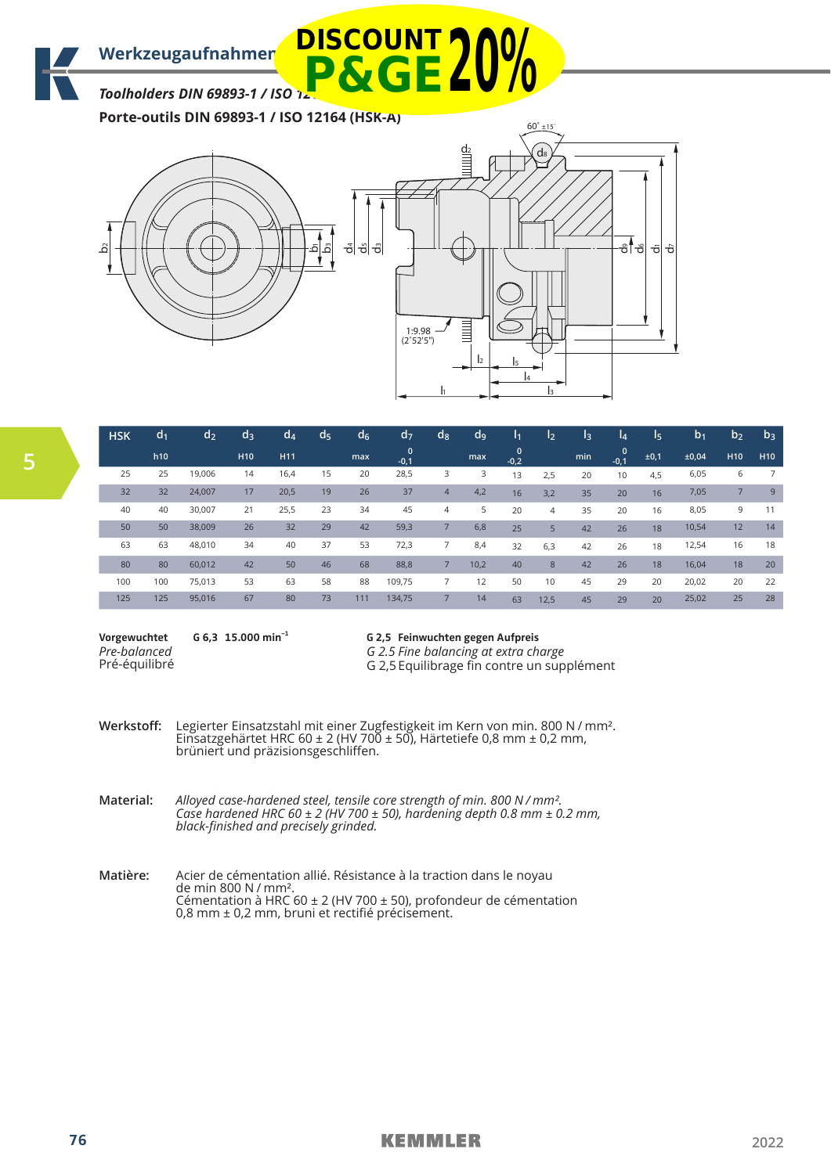*Toolholders DIN 69893-1 / ISO 12164 (HSK-A)* **P&GE20%**

**Porte-outils DIN 69893-1 / ISO 12164 (HSK-A)**





| <b>HSK</b> | d <sub>1</sub> | d <sub>2</sub> | d <sub>3</sub>  | $d_4$           | d5 | d <sub>6</sub> | $d$ 7                 | $\mathsf{d}_{8}$ | d <sub>9</sub> | I1                     | I <sub>2</sub> | l <sub>3</sub> | l4                    | l5   | b <sub>1</sub> | b <sub>2</sub>  | $b_3$           |
|------------|----------------|----------------|-----------------|-----------------|----|----------------|-----------------------|------------------|----------------|------------------------|----------------|----------------|-----------------------|------|----------------|-----------------|-----------------|
|            | h10            |                | H <sub>10</sub> | H <sub>11</sub> |    | max            | $\mathbf 0$<br>$-0,1$ |                  | max            | $\mathbf{0}$<br>$-0,2$ |                | min            | $\mathbf 0$<br>$-0.1$ | ±0,1 | ±0,04          | H <sub>10</sub> | H <sub>10</sub> |
| 25         | 25             | 19,006         | 14              | 16,4            | 15 | 20             | 28,5                  | 3                | 3              | 13                     | 2,5            | 20             | 10                    | 4,5  | 6,05           | 6               |                 |
| 32         | 32             | 24,007         | 17              | 20,5            | 19 | 26             | 37                    | $\overline{4}$   | 4,2            | 16                     | 3,2            | 35             | 20                    | 16   | 7,05           | $\overline{7}$  | 9               |
| 40         | 40             | 30,007         | 21              | 25,5            | 23 | 34             | 45                    | 4                | 5              | 20                     | 4              | 35             | 20                    | 16   | 8,05           | 9               | 11              |
| 50         | 50             | 38,009         | 26              | 32              | 29 | 42             | 59,3                  | 7                | 6,8            | 25                     | 5              | 42             | 26                    | 18   | 10,54          | 12              | 14              |
| 63         | 63             | 48,010         | 34              | 40              | 37 | 53             | 72,3                  | 7                | 8,4            | 32                     | 6,3            | 42             | 26                    | 18   | 12,54          | 16              | 18              |
| 80         | 80             | 60,012         | 42              | 50              | 46 | 68             | 88,8                  | 7                | 10,2           | 40                     | 8              | 42             | 26                    | 18   | 16,04          | 18              | 20              |
| 100        | 100            | 75,013         | 53              | 63              | 58 | 88             | 109,75                | $\overline{7}$   | 12             | 50                     | 10             | 45             | 29                    | 20   | 20,02          | 20              | 22              |
| 125        | 125            | 95,016         | 67              | 80              | 73 | 111            | 134,75                | $\overline{7}$   | 14             | 63                     | 12,5           | 45             | 29                    | 20   | 25,02          | 25              | 28              |

**Vorgewuchtet** *Pre-balanced* Pré-équilibré

**G 6,3 15.000 min–1**

**G 2,5 Feinwuchten gegen Aufpreis** *G 2.5 Fine balancing at extra charge*

G 2,5 Equilibrage fin contre un supplément

**Werkstoff:** Legierter Einsatzstahl mit einer Zugfestigkeit im Kern von min. 800 N / mm². Einsatzgehärtet HRC 60 ± 2 (HV 700 ± 50), Härtetiefe 0,8 mm ± 0,2 mm, brüniert und präzisionsgeschliffen.

**Material:** *Alloyed case-hardened steel, tensile core strength of min. 800 N / mm². Case hardened HRC 60 ± 2 (HV 700 ± 50), hardening depth 0.8 mm ± 0.2 mm, black-finished and precisely grinded.*

**Matière:** Acier de cémentation allié. Résistance à la traction dans le noyau de min 800 N / mm². Cémentation à HRC 60 ± 2 (HV 700 ± 50), profondeur de cémentation 0,8 mm ± 0,2 mm, bruni et rectifié précisement.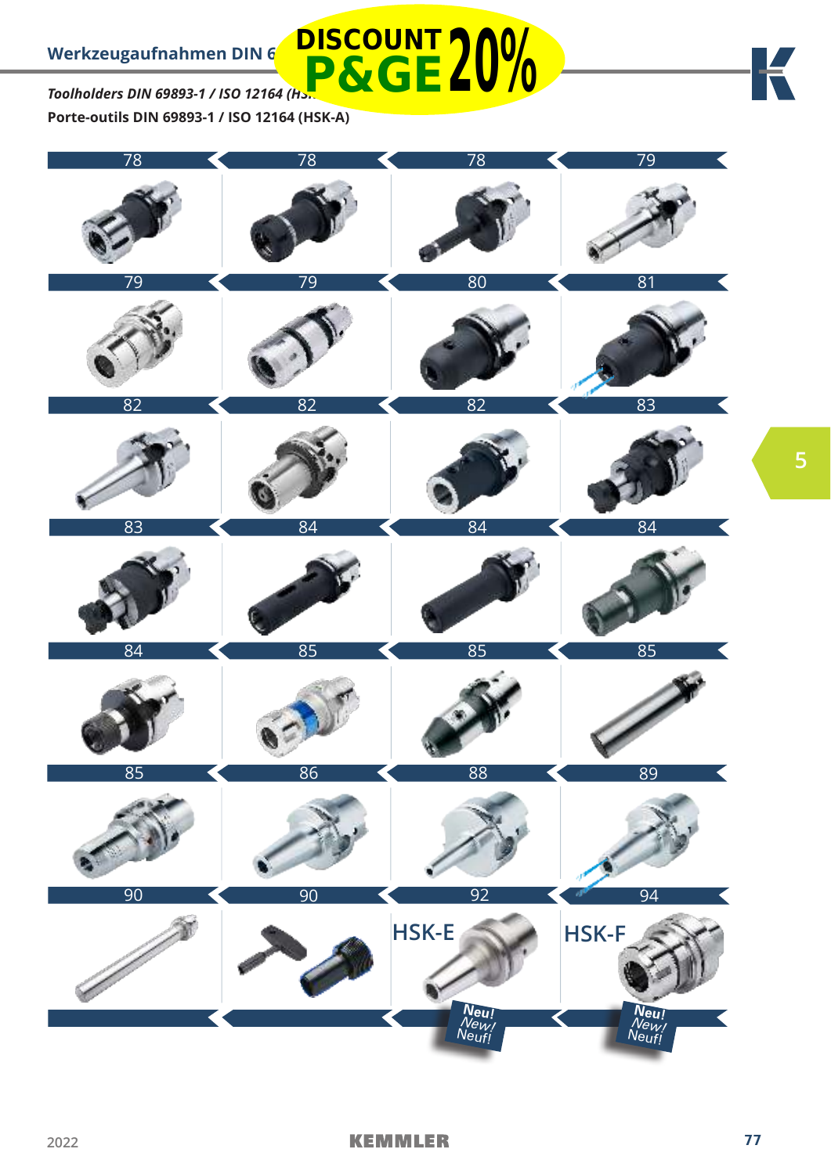*Toolholders DIN 69893-1 / ISO 12164 (HSK-A)* **Porte-outils DIN 69893-1 / ISO 12164 (HSK-A) P&GE20%**



**DISCOUNT**

K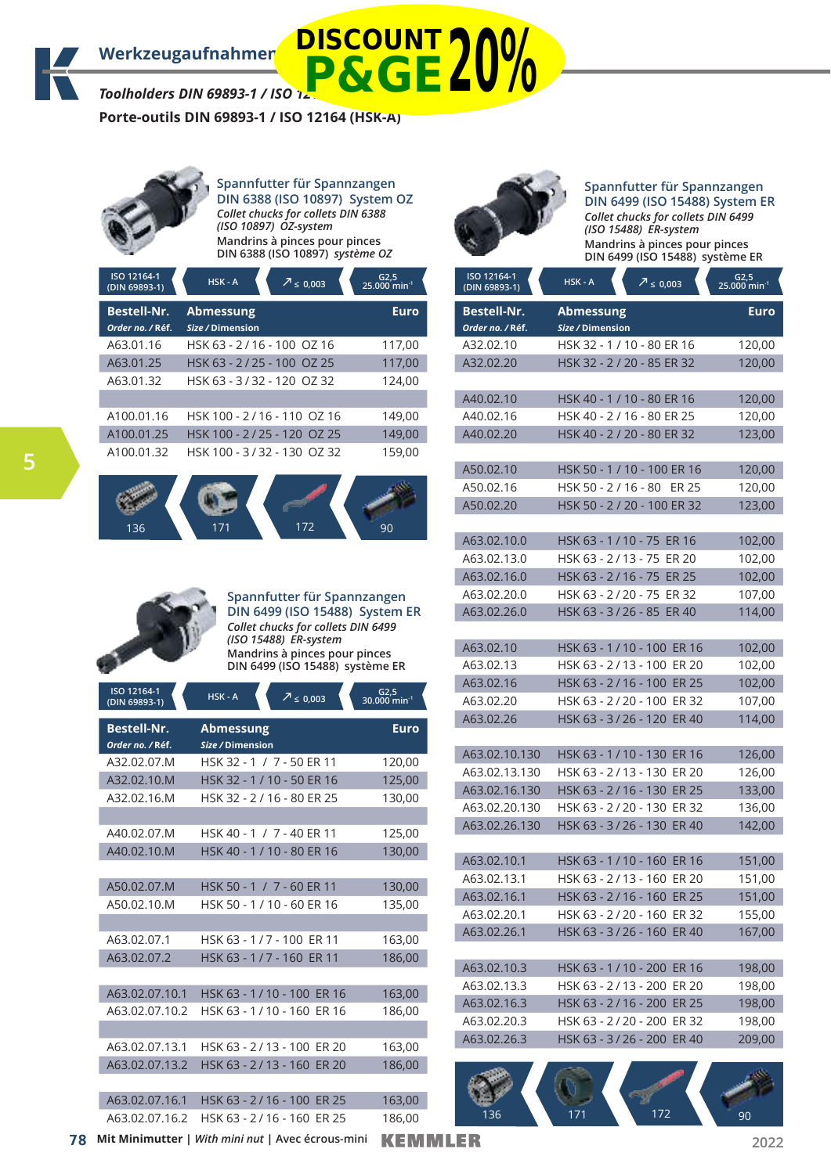*Toolholders DIN 69893-1 / ISO 12164 (HSK-A)*

**Porte-outils DIN 69893-1 / ISO 12164 (HSK-A)**



**Spannfutter für Spannzangen DIN 6388 (ISO 10897) System OZ** *Collet chucks for collets DIN 6388 (ISO 10897) OZ-system* **Mandrins à pinces pour pinces DIN 6388 (ISO 10897)** *système OZ*

| ISO 12164-1<br>(DIN 69893-1)           | HSK-A<br>$\overline{2}$ $\leq$ 0,003 | $G2,5$<br>25.000 min <sup>-1</sup> |
|----------------------------------------|--------------------------------------|------------------------------------|
| <b>Bestell-Nr.</b><br>Order no. / Réf. | <b>Abmessung</b><br>Size / Dimension | <b>Euro</b>                        |
| A63.01.16                              | HSK 63 - 2/16 - 100 OZ 16            | 117,00                             |
| A63.01.25                              | HSK 63 - 2/25 - 100 OZ 25            | 117,00                             |
| A63.01.32                              | HSK 63 - 3/32 - 120 OZ 32            | 124,00                             |
|                                        |                                      |                                    |
| A100.01.16                             | HSK 100 - 2/16 - 110 OZ 16           | 149,00                             |
| A100.01.25                             | HSK 100 - 2/25 - 120 OZ 25           | 149,00                             |
| A100.01.32                             | HSK 100 - 3/32 - 130 OZ 32           | 159,00                             |





**ISO 12164-1** 

**Spannfutter für Spannzangen DIN 6499 (ISO 15488) System ER** *Collet chucks for collets DIN 6499 (ISO 15488) ER-system* **Mandrins à pinces pour pinces DIN 6499 (ISO 15488) système ER**

**G2,5** 

| <b>150 12164-1</b><br>(DIN 69893-1) | HSK-A<br>$7 \le 0,003$              | $G2,5$<br>30.000 min <sup>-1</sup> |
|-------------------------------------|-------------------------------------|------------------------------------|
| <b>Bestell-Nr.</b>                  | Abmessung                           | <b>Euro</b>                        |
| Order no. / Réf.                    | Size / Dimension                    |                                    |
| A32.02.07.M                         | HSK 32 - 1 / 7 - 50 ER 11           | 120,00                             |
| A32.02.10.M                         | HSK 32 - 1 / 10 - 50 ER 16          | 125,00                             |
| A32.02.16.M                         | HSK 32 - 2 / 16 - 80 ER 25          | 130,00                             |
|                                     |                                     |                                    |
| A40.02.07.M                         | HSK 40 - 1 / 7 - 40 ER 11           | 125,00                             |
| A40.02.10.M                         | HSK 40 - 1 / 10 - 80 ER 16          | 130.00                             |
|                                     |                                     |                                    |
| A50.02.07.M                         | HSK 50 - 1 / 7 - 60 ER 11           | 130,00                             |
| A50.02.10.M                         | HSK 50 - 1 / 10 - 60 ER 16          | 135,00                             |
|                                     |                                     |                                    |
| A63.02.07.1                         | HSK 63 - 1/7 - 100 ER 11            | 163,00                             |
| A63.02.07.2                         | HSK 63 - 1/7 - 160 ER 11            | 186,00                             |
|                                     |                                     |                                    |
| A63.02.07.10.1                      | HSK 63 - 1 / 10 - 100 ER 16         | 163,00                             |
| A63.02.07.10.2                      | HSK 63 - 1/10 - 160 ER 16           | 186,00                             |
|                                     |                                     |                                    |
| A63.02.07.13.1                      | HSK 63 - 2/13 - 100<br>ER 20        | 163,00                             |
| A63.02.07.13.2                      | HSK 63 - 2/13 - 160<br><b>ER 20</b> | 186,00                             |
|                                     |                                     |                                    |
| A63.02.07.16.1                      | HSK 63 - 2/16 - 100 ER 25           | 163,00                             |
| A63.02.07.16.2                      | HSK 63 - 2/16 - 160 ER 25           | 186.00                             |



**P&GE20%**

# **Spannfutter für Spannzangen DIN 6499 (ISO 15488) System ER** *Collet chucks for collets DIN 6499*

*(ISO 15488) ER-system* **Mandrins à pinces pour pinces DIN 6499 (ISO 15488) système ER**

| ISO 12164-1<br>(DIN 69893-1)           | HSK-A<br>$7 \le 0,003$                | $G2,5$<br>25.000 min <sup>-1</sup> |
|----------------------------------------|---------------------------------------|------------------------------------|
| <b>Bestell-Nr.</b><br>Order no. / Réf. | <b>Abmessung</b><br>Size / Dimension  | <b>Euro</b>                        |
| A32.02.10                              | HSK 32 - 1 / 10 - 80 ER 16            | 120,00                             |
| A32.02.20                              | HSK 32 - 2 / 20 - 85 ER 32            | 120,00                             |
|                                        |                                       |                                    |
| A40.02.10                              | HSK 40 - 1 / 10 - 80 ER 16            | 120,00                             |
| A40.02.16                              | HSK 40 - 2 / 16 - 80 ER 25            | 120,00                             |
| A40.02.20                              | HSK 40 - 2 / 20 - 80 ER 32            | 123,00                             |
|                                        |                                       |                                    |
| A50.02.10                              | HSK 50 - 1 / 10 - 100 ER 16           | 120,00                             |
| A50.02.16                              | HSK 50 - 2 / 16 - 80<br><b>ER 25</b>  | 120,00                             |
| A50.02.20                              | HSK 50 - 2 / 20 - 100 ER 32           | 123,00                             |
|                                        |                                       |                                    |
| A63.02.10.0                            | HSK 63 - 1 / 10 - 75 ER 16            | 102,00                             |
| A63.02.13.0                            | HSK 63 - 2 / 13 - 75 ER 20            | 102,00                             |
| A63.02.16.0                            | HSK 63 - 2 / 16 - 75 ER 25            | 102,00                             |
| A63.02.20.0                            | ER 32<br>HSK 63 - 2 / 20 - 75         | 107,00                             |
| A63.02.26.0                            | HSK 63 - 3 / 26 - 85 ER 40            | 114,00                             |
|                                        |                                       |                                    |
| A63.02.10                              | HSK 63 - 1 / 10 - 100 ER 16           | 102,00                             |
| A63.02.13                              | HSK 63 - 2 / 13 - 100<br>ER 20        | 102,00                             |
| A63.02.16                              | HSK 63 - 2/16 - 100<br><b>ER 25</b>   | 102,00                             |
| A63.02.20                              | HSK 63 - 2 / 20 - 100<br>ER 32        | 107,00                             |
| A63.02.26                              | HSK 63 - 3 / 26 - 120<br><b>ER40</b>  | 114,00                             |
|                                        |                                       |                                    |
| A63.02.10.130                          | HSK 63 - 1 / 10 - 130 ER 16           | 126,00                             |
| A63.02.13.130                          | HSK 63 - 2 / 13 - 130<br>ER 20        | 126,00                             |
| A63.02.16.130                          | HSK 63 - 2/16 - 130<br><b>ER 25</b>   | 133,00                             |
| A63.02.20.130                          | HSK 63 - 2 / 20 - 130<br>ER 32        | 136,00                             |
| A63.02.26.130                          | <b>ER 40</b><br>HSK 63 - 3 / 26 - 130 | 142,00                             |
|                                        |                                       |                                    |
| A63.02.10.1                            | HSK 63 - 1 / 10 - 160 ER 16           | 151,00                             |
| A63.02.13.1                            | HSK 63 - 2 / 13 - 160 ER 20           | 151,00                             |
| A63.02.16.1                            | HSK 63 - 2 / 16 - 160 ER 25           | 151,00                             |
| A63.02.20.1                            | HSK 63 - 2 / 20 - 160 ER 32           | 155,00                             |
| A63.02.26.1                            | HSK 63 - 3/26 - 160 ER 40             | 167,00                             |
|                                        |                                       |                                    |
| A63.02.10.3                            | HSK 63 - 1 / 10 - 200 ER 16           | 198,00                             |
| A63.02.13.3                            | HSK 63 - 2/13 - 200<br><b>ER 20</b>   | 198,00                             |
| A63.02.16.3                            | HSK 63 - 2/16 - 200<br><b>ER 25</b>   | 198,00                             |
| A63.02.20.3                            | HSK 63 - 2/20 - 200<br><b>ER 32</b>   | 198,00                             |
| A63.02.26.3                            | <b>ER 40</b><br>HSK 63 - 3 / 26 - 200 | 209,00                             |
|                                        |                                       |                                    |
|                                        |                                       |                                    |
|                                        |                                       |                                    |
| 136                                    | 172<br>171                            | 90                                 |

**78 2022 Mit Minimutter |** *With mini nut* **| Avec écrous-mini**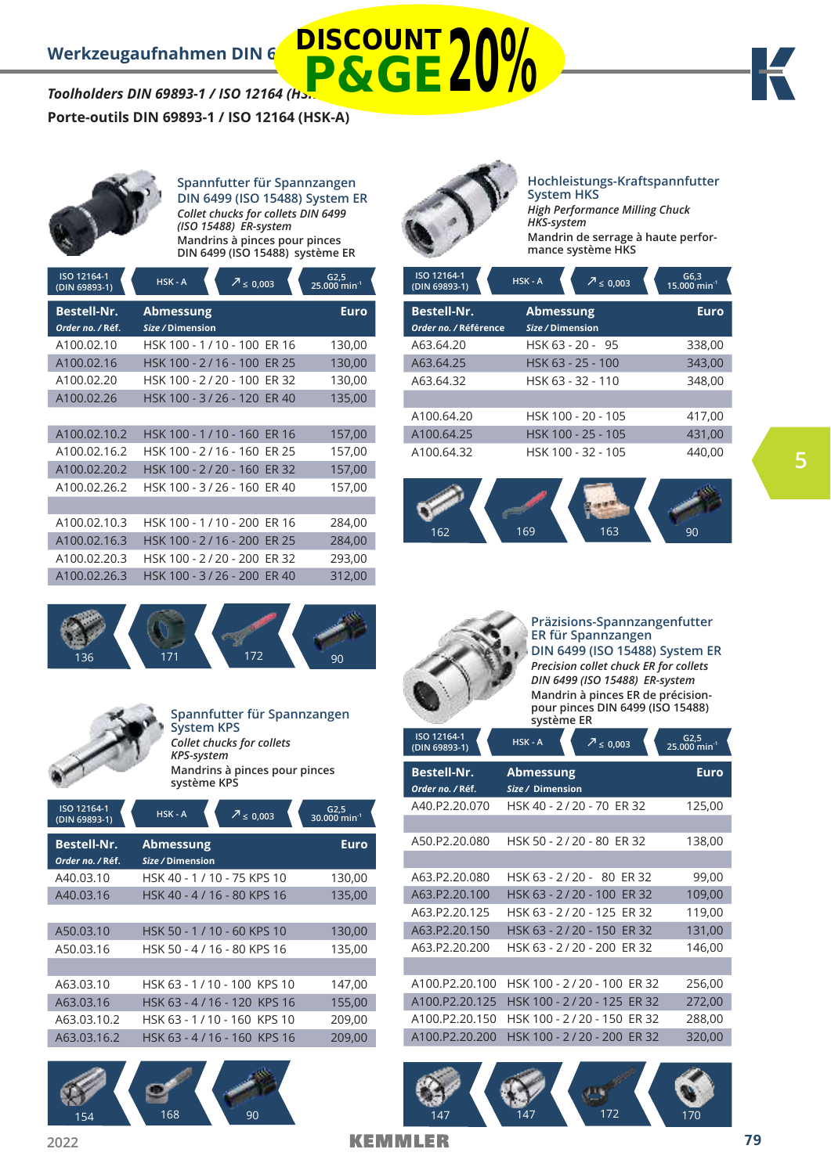# *Toolholders DIN 69893-1 / ISO 12164 (Hs.* **P&GE20%**

# **Porte-outils DIN 69893-1 / ISO 12164 (HSK-A)**



**Spannfutter für Spannzangen DIN 6499 (ISO 15488) System ER** *Collet chucks for collets DIN 6499 (ISO 15488) ER-system* **Mandrins à pinces pour pinces DIN 6499 (ISO 15488) système ER**

| Euro   |
|--------|
| 130,00 |
| 130,00 |
| 130,00 |
| 135,00 |
|        |
| 157,00 |
| 157,00 |
| 157,00 |
| 157,00 |
|        |
| 284,00 |
| 284,00 |
| 293,00 |
| 312,00 |
|        |





# **Spannfutter für Spannzangen System KPS** *Collet chucks for collets*

*KPS-system* **Mandrins à pinces pour pinces système KPS**

| ISO 12164-1<br>(DIN 69893-1)           | HSK-A<br>$\frac{7}{2} \le 0,003$     | G2,5<br>30.000 min <sup>-1</sup> |
|----------------------------------------|--------------------------------------|----------------------------------|
| <b>Bestell-Nr.</b><br>Order no. / Réf. | <b>Abmessung</b><br>Size / Dimension | Euro                             |
| A40.03.10                              | HSK 40 - 1 / 10 - 75 KPS 10          | 130,00                           |
| A40.03.16                              | HSK 40 - 4 / 16 - 80 KPS 16          | 135,00                           |
|                                        |                                      |                                  |
| A50.03.10                              | HSK 50 - 1/10 - 60 KPS 10            | 130,00                           |
| A50.03.16                              | HSK 50 - 4 / 16 - 80 KPS 16          | 135,00                           |
|                                        |                                      |                                  |
| A63.03.10                              | HSK 63 - 1/10 - 100 KPS 10           | 147,00                           |
| A63.03.16                              | HSK 63 - 4/16 - 120 KPS 16           | 155,00                           |
| A63.03.10.2                            | HSK 63 - 1/10 - 160 KPS 10           | 209,00                           |
| A63.03.16.2                            | HSK 63 - 4 / 16 - 160 KPS 16         | 209,00                           |
|                                        |                                      |                                  |





### **Hochleistungs-Kraftspannfutter System HKS** *High Performance Milling Chuck HKS-system*

**Mandrin de serrage à haute performance système HKS**

| ISO 12164-1<br>(DIN 69893-1)                | $HSK - A$ | $\overline{2} \leq 0.003$            | $G6,3$<br>15.000 min <sup>-1</sup> |  |
|---------------------------------------------|-----------|--------------------------------------|------------------------------------|--|
| <b>Bestell-Nr.</b><br>Order no. / Référence |           | <b>Abmessung</b><br>Size / Dimension |                                    |  |
| A63.64.20                                   |           | HSK 63 - 20 - 95                     | 338,00                             |  |
| A63.64.25                                   |           | HSK 63 - 25 - 100                    | 343,00                             |  |
| A63.64.32                                   |           | HSK 63 - 32 - 110                    |                                    |  |
|                                             |           |                                      |                                    |  |
| A100.64.20                                  |           | HSK 100 - 20 - 105                   | 417,00                             |  |
| A100.64.25                                  |           | HSK 100 - 25 - 105                   | 431,00                             |  |
| A100.64.32                                  |           | HSK 100 - 32 - 105                   | 440.00                             |  |





**Präzisions-Spannzangenfutter ER für Spannzangen DIN 6499 (ISO 15488) System ER** *Precision collet chuck ER for collets DIN 6499 (ISO 15488) ER-system* **Mandrin à pinces ER de précisionpour pinces DIN 6499 (ISO 15488) système ER**

| ISO 12164-1<br>(DIN 69893-1)           | $HSK - A$<br>$7 \le 0,003$                             | G2,5<br>25.000 min <sup>-1</sup> |
|----------------------------------------|--------------------------------------------------------|----------------------------------|
| <b>Bestell-Nr.</b><br>Order no. / Réf. | <b>Abmessung</b><br>Size / Dimension                   | <b>Euro</b>                      |
| A40.P2.20.070                          | HSK 40 - 2 / 20 - 70 ER 32                             | 125,00                           |
| A50.P2.20.080                          | HSK 50 - 2 / 20 - 80 ER 32                             | 138,00                           |
| A63.P2.20.080<br>A63.P2.20.100         | HSK 63 - 2/20 - 80 ER 32<br>HSK 63 - 2/20 - 100 ER 32  | 99,00<br>109,00                  |
| A63.P2.20.125<br>A63.P2.20.150         | HSK 63 - 2/20 - 125 ER 32<br>HSK 63 - 2/20 - 150 ER 32 | 119,00<br>131,00                 |
| A63.P2.20.200                          | HSK 63 - 2/20 - 200 ER 32                              | 146,00                           |
| A100.P2.20.100                         | HSK 100 - 2/20 - 100 ER 32                             | 256,00                           |
| A100.P2.20.125                         | HSK 100 - 2/20 - 125 ER 32                             | 272,00                           |
| A100.P2.20.150                         | HSK 100 - 2 / 20 - 150<br>ER 32                        | 288,00                           |
| A100.P2.20.200                         | HSK 100 - 2/20 - 200 ER 32                             | 320,00                           |

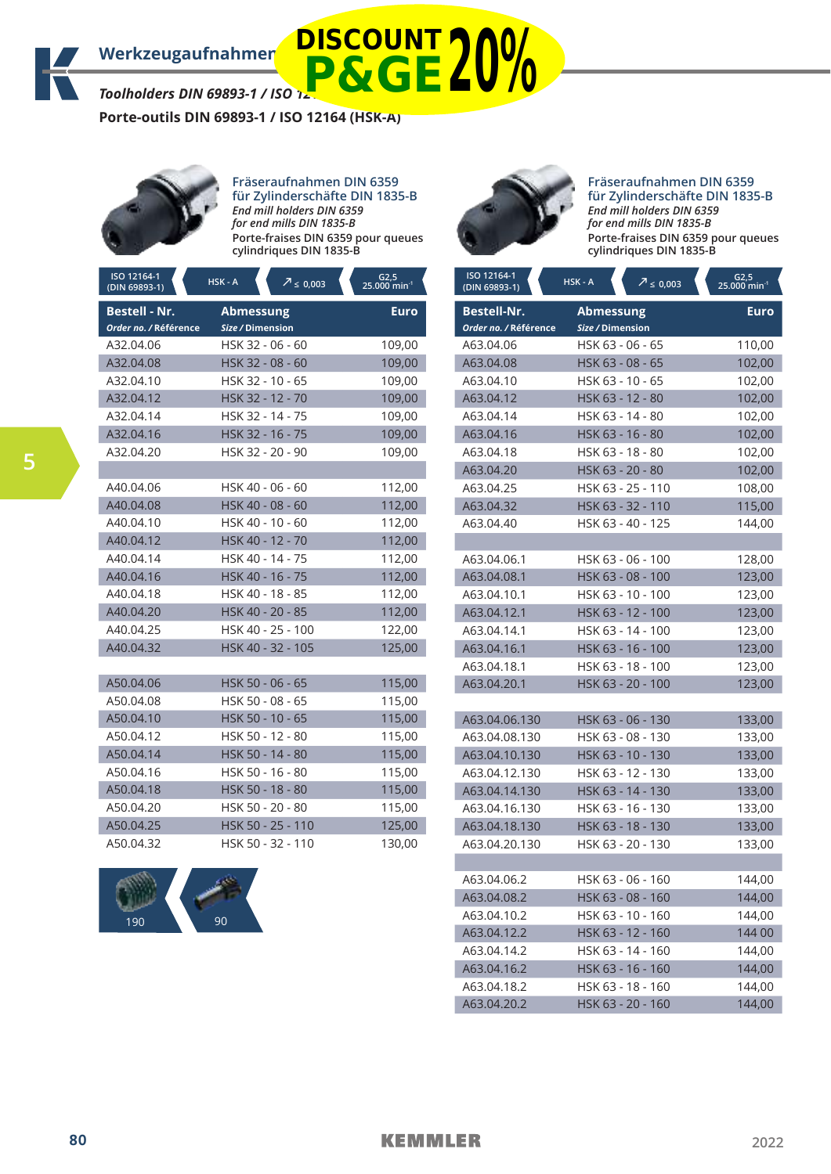*Toolholders DIN 69893-1 / ISO 12164 (HSK-A)*

**Porte-outils DIN 69893-1 / ISO 12164 (HSK-A)**



**Fräseraufnahmen DIN 6359 für Zylinderschäfte DIN 1835-B** *End mill holders DIN 6359 for end mills DIN 1835-B* **Porte-fraises DIN 6359 pour queues cylindriques DIN 1835-B**

**P&GE20%**

| ISO 12164-1<br>(DIN 69893-1)                  | HSK-A<br>$2 \le 0,003$        | $\frac{62,5}{25.000}$ min <sup>-1</sup> |
|-----------------------------------------------|-------------------------------|-----------------------------------------|
| <b>Bestell - Nr.</b><br>Order no. / Référence | Abmessung<br>Size / Dimension | <b>Euro</b>                             |
| A32.04.06                                     | HSK 32 - 06 - 60              | 109,00                                  |
| A32.04.08                                     | HSK 32 - 08 - 60              | 109,00                                  |
| A32.04.10                                     | HSK 32 - 10 - 65              | 109,00                                  |
| A32.04.12                                     | HSK 32 - 12 - 70              | 109,00                                  |
| A32.04.14                                     | HSK 32 - 14 - 75              | 109,00                                  |
| A32.04.16                                     | HSK 32 - 16 - 75              | 109,00                                  |
| A32.04.20                                     | HSK 32 - 20 - 90              | 109,00                                  |
|                                               |                               |                                         |
| A40.04.06                                     | HSK 40 - 06 - 60              | 112,00                                  |
| A40.04.08                                     | HSK 40 - 08 - 60              | 112,00                                  |
| A40.04.10                                     | HSK 40 - 10 - 60              | 112,00                                  |
| A40.04.12                                     | HSK 40 - 12 - 70              | 112,00                                  |
| A40.04.14                                     | HSK 40 - 14 - 75              | 112,00                                  |
| A40.04.16                                     | HSK 40 - 16 - 75              | 112,00                                  |
| A40.04.18                                     | HSK 40 - 18 - 85              | 112,00                                  |
| A40.04.20                                     | HSK 40 - 20 - 85              | 112,00                                  |
| A40.04.25                                     | HSK 40 - 25 - 100             | 122,00                                  |
| A40.04.32                                     | HSK 40 - 32 - 105             | 125,00                                  |
|                                               |                               |                                         |
| A50.04.06                                     | HSK 50 - 06 - 65              | 115,00                                  |
| A50.04.08                                     | HSK 50 - 08 - 65              | 115,00                                  |
| A50.04.10                                     | HSK 50 - 10 - 65              | 115,00                                  |
| A50.04.12                                     | HSK 50 - 12 - 80              | 115,00                                  |
| A50.04.14                                     | HSK 50 - 14 - 80              | 115,00                                  |
| A50.04.16                                     | HSK 50 - 16 - 80              | 115,00                                  |
| A50.04.18                                     | HSK 50 - 18 - 80              | 115,00                                  |
| A50.04.20                                     | HSK 50 - 20 - 80              | 115,00                                  |
| A50.04.25                                     | HSK 50 - 25 - 110             | 125,00                                  |
| A50.04.32                                     | HSK 50 - 32 - 110             | 130,00                                  |





#### **Fräseraufnahmen DIN 6359 für Zylinderschäfte DIN 1835-B** *End mill holders DIN 6359 for end mills DIN 1835-B* **Porte-fraises DIN 6359 pour queues cylindriques DIN 1835-B**

| ISO 12164-1<br>(DIN 69893-1) | HSK-A<br>$\sqrt{2} \leq 0,003$ | $G2,5$<br>25.000 min <sup>-1</sup> |
|------------------------------|--------------------------------|------------------------------------|
| <b>Bestell-Nr.</b>           | <b>Abmessung</b>               | Euro                               |
| Order no. / Référence        | Size / Dimension               |                                    |
| A63.04.06                    | HSK 63 - 06 - 65               | 110,00                             |
| A63.04.08                    | HSK 63 - 08 - 65               | 102,00                             |
| A63.04.10                    | HSK 63 - 10 - 65               | 102,00                             |
| A63.04.12                    | HSK 63 - 12 - 80               | 102,00                             |
| A63.04.14                    | HSK 63 - 14 - 80               | 102,00                             |
| A63.04.16                    | HSK 63 - 16 - 80               | 102,00                             |
| A63.04.18                    | HSK 63 - 18 - 80               | 102,00                             |
| A63.04.20                    | HSK 63 - 20 - 80               | 102,00                             |
| A63.04.25                    | HSK 63 - 25 - 110              | 108,00                             |
| A63.04.32                    | HSK 63 - 32 - 110              | 115,00                             |
| A63.04.40                    | HSK 63 - 40 - 125              | 144,00                             |
|                              |                                |                                    |
| A63.04.06.1                  | HSK 63 - 06 - 100              | 128,00                             |
| A63.04.08.1                  | HSK 63 - 08 - 100              | 123,00                             |
| A63.04.10.1                  | HSK 63 - 10 - 100              | 123,00                             |
| A63.04.12.1                  | HSK 63 - 12 - 100              | 123,00                             |
| A63.04.14.1                  | HSK 63 - 14 - 100              | 123,00                             |
| A63.04.16.1                  | HSK 63 - 16 - 100              | 123,00                             |
| A63.04.18.1                  | HSK 63 - 18 - 100              | 123,00                             |
| A63.04.20.1                  | HSK 63 - 20 - 100              | 123,00                             |
|                              |                                |                                    |
| A63.04.06.130                | HSK 63 - 06 - 130              | 133,00                             |
| A63.04.08.130                | HSK 63 - 08 - 130              | 133,00                             |
| A63.04.10.130                | HSK 63 - 10 - 130              | 133,00                             |
| A63.04.12.130                | HSK 63 - 12 - 130              | 133,00                             |
| A63.04.14.130                | HSK 63 - 14 - 130              | 133,00                             |
| A63.04.16.130                | HSK 63 - 16 - 130              | 133,00                             |
| A63.04.18.130                | HSK 63 - 18 - 130              | 133,00                             |
| A63.04.20.130                | HSK 63 - 20 - 130              | 133,00                             |
|                              |                                |                                    |
| A63.04.06.2                  | HSK 63 - 06 - 160              | 144,00                             |
| A63.04.08.2                  | HSK 63 - 08 - 160              | 144,00                             |
| A63.04.10.2                  | HSK 63 - 10 - 160              | 144,00                             |
| A63.04.12.2                  | HSK 63 - 12 - 160              | 144 00                             |
| A63.04.14.2                  | HSK 63 - 14 - 160              | 144,00                             |
| A63.04.16.2                  | HSK 63 - 16 - 160              | 144,00                             |
| A63.04.18.2                  | HSK 63 - 18 - 160              | 144,00                             |
| A63.04.20.2                  | HSK 63 - 20 - 160              | 144,00                             |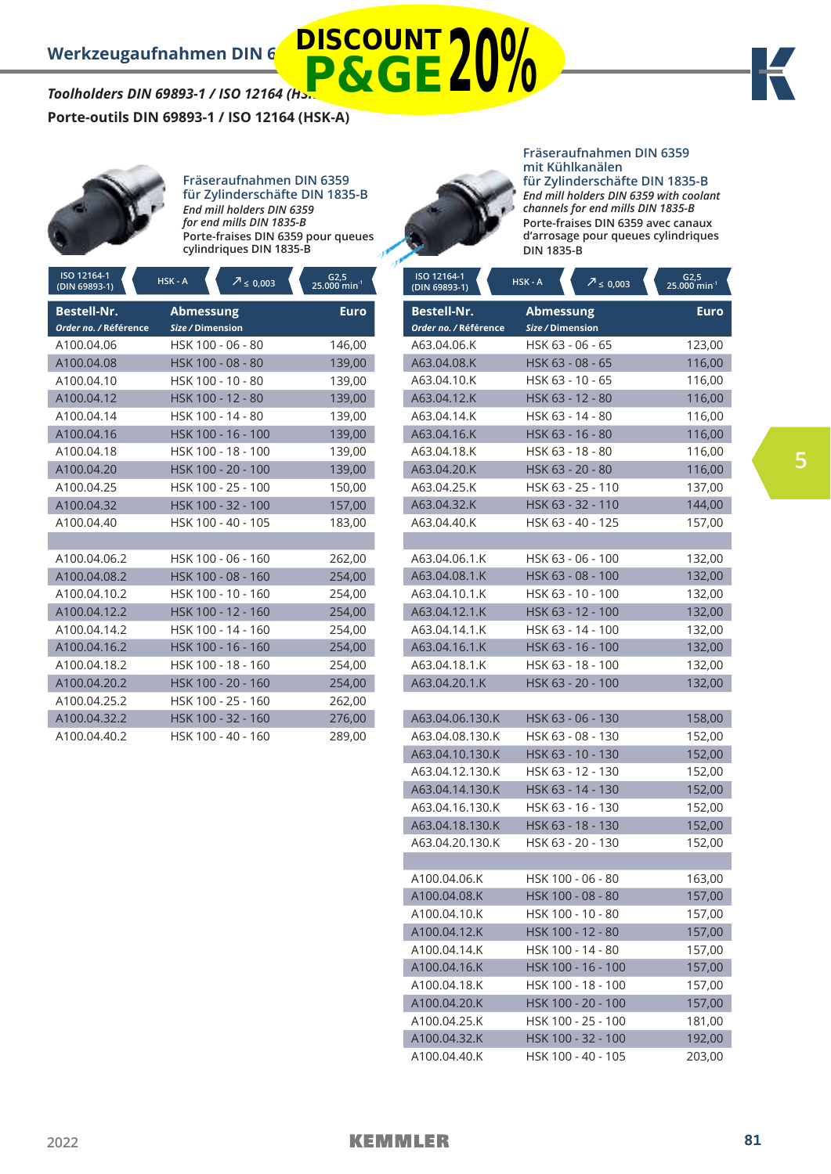# *Toolholders DIN 69893-1 / ISO 12164 (Hs.* **DISCOUNT P&GE20%**

**Porte-outils DIN 69893-1 / ISO 12164 (HSK-A)**



**Fräseraufnahmen DIN 6359 für Zylinderschäfte DIN 1835-B** *End mill holders DIN 6359 for end mills DIN 1835-B* **Porte-fraises DIN 6359 pour queues cylindriques DIN 1835-B**

| ISO 12164-1<br>$(DIN 69893-1)$              | HSK-A<br>$\sqrt{2} \le 0,003$ | G2,5<br>$25.000$ min <sup>-1</sup> |
|---------------------------------------------|-------------------------------|------------------------------------|
| <b>Bestell-Nr.</b><br>Order no. / Référence | Abmessung<br>Size / Dimension | Euro                               |
| A100.04.06                                  | HSK 100 - 06 - 80             | 146,00                             |
| A100.04.08                                  | HSK 100 - 08 - 80             | 139,00                             |
| A100.04.10                                  | HSK 100 - 10 - 80             | 139,00                             |
| A100.04.12                                  | HSK 100 - 12 - 80             | 139,00                             |
| A100.04.14                                  | HSK 100 - 14 - 80             | 139,00                             |
| A100.04.16                                  | HSK 100 - 16 - 100            | 139,00                             |
| A100.04.18                                  | HSK 100 - 18 - 100            | 139,00                             |
| A100.04.20                                  | HSK 100 - 20 - 100            | 139,00                             |
| A100.04.25                                  | HSK 100 - 25 - 100            | 150,00                             |
| A100.04.32                                  | HSK 100 - 32 - 100            | 157,00                             |
| A100.04.40                                  | HSK 100 - 40 - 105            | 183,00                             |
|                                             |                               |                                    |
| A100.04.06.2                                | HSK 100 - 06 - 160            | 262,00                             |
| A100.04.08.2                                | HSK 100 - 08 - 160            | 254,00                             |
| A100.04.10.2                                | HSK 100 - 10 - 160            | 254,00                             |
| A100.04.12.2                                | HSK 100 - 12 - 160            | 254,00                             |
| A100.04.14.2                                | HSK 100 - 14 - 160            | 254,00                             |
| A100.04.16.2                                | HSK 100 - 16 - 160            | 254,00                             |
| A100.04.18.2                                | HSK 100 - 18 - 160            | 254,00                             |
| A100.04.20.2                                | HSK 100 - 20 - 160            | 254,00                             |
| A100.04.25.2                                | HSK 100 - 25 - 160            | 262,00                             |
| A100.04.32.2                                | HSK 100 - 32 - 160            | 276,00                             |
| A100.04.40.2                                | HSK 100 - 40 - 160            | 289,00                             |



### **Fräseraufnahmen DIN 6359 mit Kühlkanälen für Zylinderschäfte DIN 1835-B**

*End mill holders DIN 6359 with coolant channels for end mills DIN 1835-B* **Porte-fraises DIN 6359 avec canaux d'arrosage pour queues cylindriques DIN 1835-B**

| ISO 12164-1<br>(DIN 69893-1)                | HSK-A                                | $\sqrt{2} \leq 0,003$ | $G2,5$<br>25.000 min <sup>-1</sup> |
|---------------------------------------------|--------------------------------------|-----------------------|------------------------------------|
| <b>Bestell-Nr.</b><br>Order no. / Référence | <b>Abmessung</b><br>Size / Dimension |                       | <b>Euro</b>                        |
| A63.04.06.K                                 |                                      | HSK 63 - 06 - 65      | 123,00                             |
| A63.04.08.K                                 |                                      | HSK 63 - 08 - 65      | 116,00                             |
| A63.04.10.K                                 |                                      | HSK 63 - 10 - 65      | 116,00                             |
| A63.04.12.K                                 |                                      | HSK 63 - 12 - 80      | 116,00                             |
| A63.04.14.K                                 |                                      | HSK 63 - 14 - 80      | 116,00                             |
| A63.04.16.K                                 |                                      | HSK 63 - 16 - 80      | 116,00                             |
| A63.04.18.K                                 |                                      | HSK 63 - 18 - 80      | 116,00                             |
| A63.04.20.K                                 |                                      | HSK 63 - 20 - 80      | 116,00                             |
| A63.04.25.K                                 |                                      | HSK 63 - 25 - 110     | 137,00                             |
| A63.04.32.K                                 |                                      | HSK 63 - 32 - 110     | 144,00                             |
| A63.04.40.K                                 |                                      | HSK 63 - 40 - 125     | 157,00                             |
|                                             |                                      |                       |                                    |
| A63.04.06.1.K                               |                                      | HSK 63 - 06 - 100     | 132,00                             |
| A63.04.08.1.K                               |                                      | HSK 63 - 08 - 100     | 132,00                             |
| A63.04.10.1.K                               |                                      | HSK 63 - 10 - 100     | 132,00                             |
| A63.04.12.1.K                               |                                      | HSK 63 - 12 - 100     | 132,00                             |
| A63.04.14.1.K                               |                                      | HSK 63 - 14 - 100     | 132,00                             |
| A63.04.16.1.K                               |                                      | HSK 63 - 16 - 100     | 132,00                             |
| A63.04.18.1.K                               |                                      | HSK 63 - 18 - 100     | 132,00                             |
| A63.04.20.1.K                               |                                      | HSK 63 - 20 - 100     | 132,00                             |
|                                             |                                      |                       |                                    |
| A63.04.06.130.K                             |                                      | HSK 63 - 06 - 130     | 158,00                             |
| A63.04.08.130.K                             |                                      | HSK 63 - 08 - 130     | 152,00                             |
| A63.04.10.130.K                             |                                      | HSK 63 - 10 - 130     | 152,00                             |
| A63.04.12.130.K                             |                                      | HSK 63 - 12 - 130     | 152,00                             |
| A63.04.14.130.K                             |                                      | HSK 63 - 14 - 130     | 152,00                             |
| A63.04.16.130.K                             |                                      | HSK 63 - 16 - 130     | 152,00                             |
| A63.04.18.130.K                             |                                      | HSK 63 - 18 - 130     | 152,00                             |
| A63.04.20.130.K                             |                                      | HSK 63 - 20 - 130     | 152,00                             |
|                                             |                                      |                       |                                    |
| A100.04.06.K                                |                                      | HSK 100 - 06 - 80     | 163,00                             |
| A100.04.08.K                                |                                      | HSK 100 - 08 - 80     | 157,00                             |
| A100.04.10.K                                |                                      | HSK 100 - 10 - 80     | 157,00                             |
| A100.04.12.K                                |                                      | HSK 100 - 12 - 80     | 157,00                             |
| A100.04.14.K                                |                                      | HSK 100 - 14 - 80     | 157,00                             |
| A100.04.16.K                                |                                      | HSK 100 - 16 - 100    | 157,00                             |
| A100.04.18.K                                |                                      | HSK 100 - 18 - 100    | 157,00                             |
| A100.04.20.K                                |                                      | HSK 100 - 20 - 100    | 157,00                             |
| A100.04.25.K                                |                                      | HSK 100 - 25 - 100    | 181,00                             |
| A100.04.32.K                                |                                      | HSK 100 - 32 - 100    | 192,00                             |
| A100.04.40.K                                |                                      | HSK 100 - 40 - 105    | 203,00                             |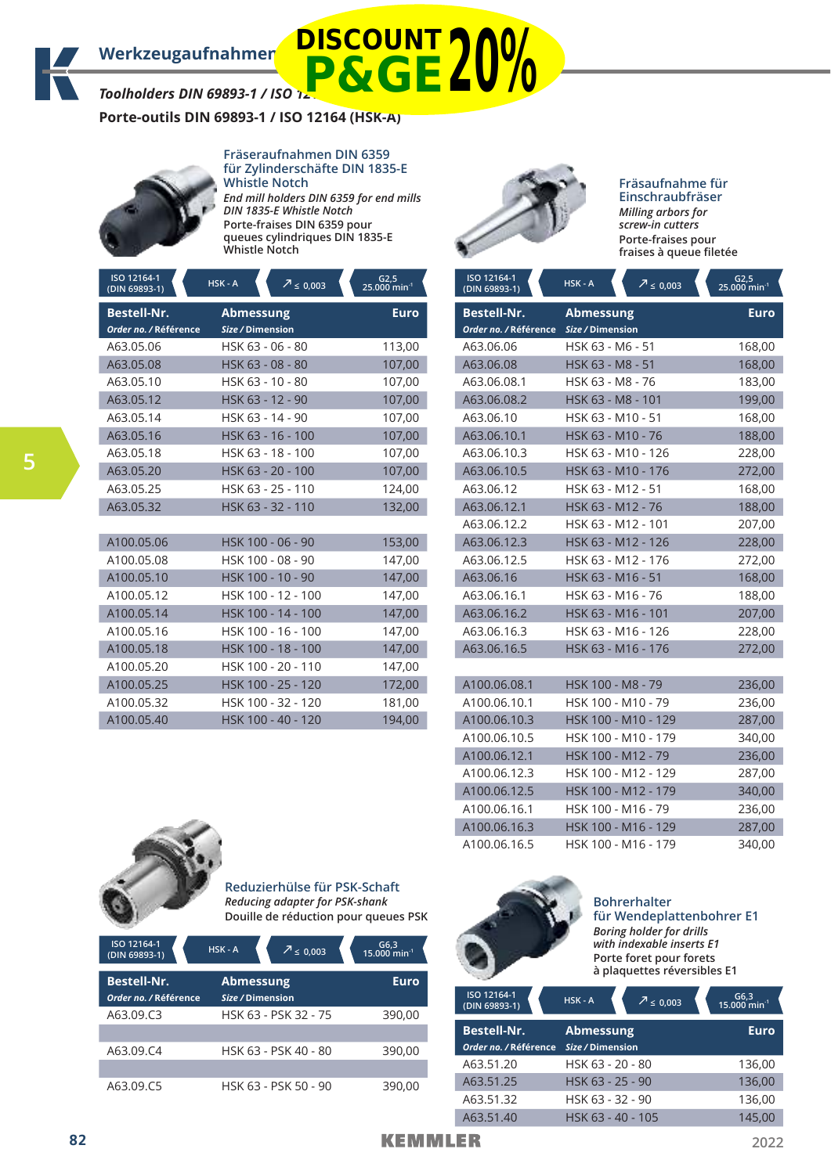*Toolholders DIN 69893-1 / ISO 12164 (HSK-A)* **P&GE20%**

**Porte-outils DIN 69893-1 / ISO 12164 (HSK-A)**



**Fräseraufnahmen DIN 6359 für Zylinderschäfte DIN 1835-E Whistle Notch** *End mill holders DIN 6359 for end mills DIN 1835-E Whistle Notch* **Porte-fraises DIN 6359 pour queues cylindriques DIN 1835-E Whistle Notch** 

| ISO 12164-1<br>(DIN 69893-1)                | $HSK - A$<br>$\sqrt{2} \le 0,003$    | $G2,5$<br>25.000 min <sup>-1</sup> |
|---------------------------------------------|--------------------------------------|------------------------------------|
| <b>Bestell-Nr.</b><br>Order no. / Référence | <b>Abmessung</b><br>Size / Dimension | Euro                               |
| A63.05.06                                   | HSK 63 - 06 - 80                     | 113,00                             |
| A63.05.08                                   | HSK 63 - 08 - 80                     | 107,00                             |
| A63.05.10                                   | HSK 63 - 10 - 80                     | 107,00                             |
| A63.05.12                                   | HSK 63 - 12 - 90                     | 107,00                             |
| A63.05.14                                   | HSK 63 - 14 - 90                     | 107,00                             |
| A63.05.16                                   | HSK 63 - 16 - 100                    | 107,00                             |
| A63.05.18                                   | HSK 63 - 18 - 100                    | 107,00                             |
| A63.05.20                                   | HSK 63 - 20 - 100                    | 107,00                             |
| A63.05.25                                   | HSK 63 - 25 - 110                    | 124,00                             |
| A63.05.32                                   | HSK 63 - 32 - 110                    | 132,00                             |
|                                             |                                      |                                    |
| A100.05.06                                  | HSK 100 - 06 - 90                    | 153,00                             |
| A100.05.08                                  | HSK 100 - 08 - 90                    | 147,00                             |
| A100.05.10                                  | HSK 100 - 10 - 90                    | 147,00                             |
| A100.05.12                                  | HSK 100 - 12 - 100                   | 147,00                             |
| A100.05.14                                  | HSK 100 - 14 - 100                   | 147,00                             |
| A100.05.16                                  | HSK 100 - 16 - 100                   | 147,00                             |
| A100.05.18                                  | HSK 100 - 18 - 100                   | 147,00                             |
| A100.05.20                                  | HSK 100 - 20 - 110                   | 147,00                             |
| A100.05.25                                  | HSK 100 - 25 - 120                   | 172,00                             |
| A100.05.32                                  | HSK 100 - 32 - 120                   | 181,00                             |
| A100.05.40                                  | HSK 100 - 40 - 120                   | 194,00                             |



### **Fräsaufnahme für Einschraubfräser** *Milling arbors for screw-in cutters* **Porte-fraises pour fraises à queue filetée**

| ISO 12164-1<br>(DIN 69893-1) | HSK-A<br>$7 \le 0,003$ | G2,5<br>$25.000$ min <sup>-1</sup> |
|------------------------------|------------------------|------------------------------------|
| <b>Bestell-Nr.</b>           | <b>Abmessung</b>       | <b>Euro</b>                        |
| Order no. / Référence        | Size / Dimension       |                                    |
| A63.06.06                    | HSK 63 - M6 - 51       | 168,00                             |
| A63.06.08                    | HSK 63 - M8 - 51       | 168,00                             |
| A63.06.08.1                  | HSK 63 - M8 - 76       | 183,00                             |
| A63.06.08.2                  | HSK 63 - M8 - 101      | 199,00                             |
| A63.06.10                    | HSK 63 - M10 - 51      | 168,00                             |
| A63.06.10.1                  | HSK 63 - M10 - 76      | 188,00                             |
| A63.06.10.3                  | HSK 63 - M10 - 126     | 228,00                             |
| A63.06.10.5                  | HSK 63 - M10 - 176     | 272,00                             |
| A63.06.12                    | HSK 63 - M12 - 51      | 168,00                             |
| A63.06.12.1                  | HSK 63 - M12 - 76      | 188,00                             |
| A63.06.12.2                  | HSK 63 - M12 - 101     | 207,00                             |
| A63.06.12.3                  | HSK 63 - M12 - 126     | 228,00                             |
| A63.06.12.5                  | HSK 63 - M12 - 176     | 272,00                             |
| A63.06.16                    | HSK 63 - M16 - 51      | 168,00                             |
| A63.06.16.1                  | HSK 63 - M16 - 76      | 188,00                             |
| A63.06.16.2                  | HSK 63 - M16 - 101     | 207,00                             |
| A63.06.16.3                  | HSK 63 - M16 - 126     | 228,00                             |
| A63.06.16.5                  | HSK 63 - M16 - 176     | 272,00                             |
|                              |                        |                                    |
| A100.06.08.1                 | HSK 100 - M8 - 79      | 236,00                             |
| A100.06.10.1                 | HSK 100 - M10 - 79     | 236,00                             |
| A100.06.10.3                 | HSK 100 - M10 - 129    | 287,00                             |
| A100.06.10.5                 | HSK 100 - M10 - 179    | 340,00                             |
| A100.06.12.1                 | HSK 100 - M12 - 79     | 236,00                             |
| A100.06.12.3                 | HSK 100 - M12 - 129    | 287,00                             |
| A100.06.12.5                 | HSK 100 - M12 - 179    | 340,00                             |
| A100.06.16.1                 | HSK 100 - M16 - 79     | 236,00                             |
| A100.06.16.3                 | HSK 100 - M16 - 129    | 287,00                             |
| A100.06.16.5                 | HSK 100 - M16 - 179    | 340,00                             |



**Reduzierhülse für PSK-Schaft** *Reducing adapter for PSK-shank* **Douille de réduction pour queues PSK**

| ISO 12164-1<br>(DIN 69893-1)                | HSK-A                                | $7 \le 0.003$        | $G6,3$<br>15.000 min <sup>-1</sup> |
|---------------------------------------------|--------------------------------------|----------------------|------------------------------------|
| <b>Bestell-Nr.</b><br>Order no. / Référence | <b>Abmessung</b><br>Size / Dimension |                      | <b>Euro</b>                        |
| A63.09.C3                                   |                                      | HSK 63 - PSK 32 - 75 | 390,00                             |
| A63.09.C4                                   |                                      | HSK 63 - PSK 40 - 80 | 390,00                             |
| A63.09.C5                                   |                                      | HSK 63 - PSK 50 - 90 | 390.00                             |



**Bohrerhalter für Wendeplattenbohrer E1** *Boring holder for drills with indexable inserts E1* **Porte foret pour forets à plaquettes réversibles E1**

| ISO 12164-1<br>(DIN 69893-1)                | HSK-A                                | $\sqrt{2} \leq 0.003$ | $G6,3$<br>15.000 min <sup>-1</sup> |
|---------------------------------------------|--------------------------------------|-----------------------|------------------------------------|
| <b>Bestell-Nr.</b><br>Order no. / Référence | <b>Abmessung</b><br>Size / Dimension |                       | <b>Euro</b>                        |
| A63.51.20                                   | HSK 63 - 20 - 80                     |                       | 136,00                             |
| A63.51.25                                   | HSK 63 - 25 - 90                     |                       | 136,00                             |
| A63.51.32                                   | HSK 63 - 32 - 90                     |                       | 136,00                             |
| A63.51.40                                   | HSK 63 - 40 - 105                    |                       | 145,00                             |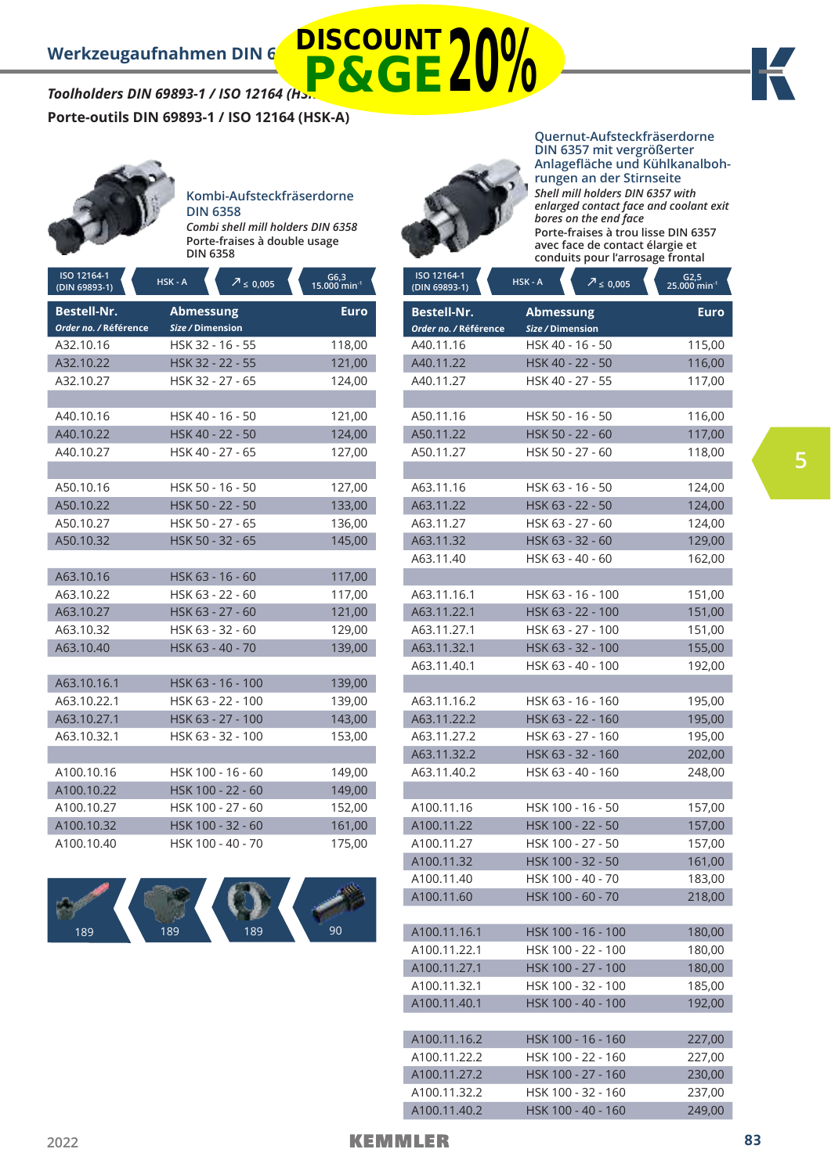# *Toolholders DIN 69893-1 / ISO 12164 (Hs.* **DISCOUNT P&GE20%**



**Porte-outils DIN 69893-1 / ISO 12164 (HSK-A)**



# **Kombi-Aufsteckfräserdorne DIN 6358**

*Combi shell mill holders DIN 6358* **Porte-fraises à double usage DIN 6358**

| ISO 12164-1<br>(DIN 69893-1)                | HSK-A<br>$\sqrt{2} \leq 0.005$       | $G6,3$<br>15.000 min <sup>-1</sup> |
|---------------------------------------------|--------------------------------------|------------------------------------|
| <b>Bestell-Nr.</b><br>Order no. / Référence | <b>Abmessung</b><br>Size / Dimension | <b>Euro</b>                        |
| A32.10.16                                   | HSK 32 - 16 - 55                     | 118,00                             |
| A32.10.22                                   | HSK 32 - 22 - 55                     | 121,00                             |
| A32.10.27                                   | HSK 32 - 27 - 65                     | 124,00                             |
|                                             |                                      |                                    |
| A40.10.16                                   | HSK 40 - 16 - 50                     | 121,00                             |
| A40.10.22                                   | HSK 40 - 22 - 50                     | 124,00                             |
| A40.10.27                                   | HSK 40 - 27 - 65                     | 127,00                             |
|                                             |                                      |                                    |
| A50.10.16                                   | HSK 50 - 16 - 50                     | 127,00                             |
| A50.10.22                                   | HSK 50 - 22 - 50                     | 133,00                             |
| A50.10.27                                   | HSK 50 - 27 - 65                     | 136,00                             |
| A50.10.32                                   | HSK 50 - 32 - 65                     | 145,00                             |
|                                             |                                      |                                    |
| A63.10.16                                   | HSK 63 - 16 - 60                     | 117,00                             |
| A63.10.22                                   | HSK 63 - 22 - 60                     | 117,00                             |
| A63.10.27                                   | HSK 63 - 27 - 60                     | 121,00                             |
| A63.10.32                                   | HSK 63 - 32 - 60                     | 129,00                             |
| A63.10.40                                   | HSK 63 - 40 - 70                     | 139,00                             |
|                                             |                                      |                                    |
| A63.10.16.1                                 | HSK 63 - 16 - 100                    | 139,00                             |
| A63.10.22.1                                 | HSK 63 - 22 - 100                    | 139,00                             |
| A63.10.27.1                                 | HSK 63 - 27 - 100                    | 143,00                             |
| A63.10.32.1                                 | HSK 63 - 32 - 100                    | 153,00                             |
|                                             |                                      |                                    |
| A100.10.16                                  | HSK 100 - 16 - 60                    | 149,00                             |
| A100.10.22                                  | HSK 100 - 22 - 60                    | 149,00                             |
| A100.10.27                                  | HSK 100 - 27 - 60                    | 152,00                             |
| A100.10.32                                  | HSK 100 - 32 - 60                    | 161,00                             |
| A100.10.40                                  | HSK 100 - 40 - 70                    | 175,00                             |





**Quernut-Aufsteckfräserdorne DIN 6357 mit vergrößerter Anlagefläche und Kühlkanalbohrungen an der Stirnseite** *Shell mill holders DIN 6357 with enlarged contact face and coolant exit bores on the end face* **Porte-fraises à trou lisse DIN 6357 avec face de contact élargie et conduits pour l'arrosage frontal**

| ISO 12164-1<br>$(DIN 69893-1)$ | HSK-A<br>$\sqrt{2} \leq 0,005$ | $G2,5$<br>25.000 min <sup>-1</sup> |
|--------------------------------|--------------------------------|------------------------------------|
| <b>Bestell-Nr.</b>             | <b>Abmessung</b>               | <b>Euro</b>                        |
| Order no. / Référence          | Size / Dimension               |                                    |
| A40.11.16                      | HSK 40 - 16 - 50               | 115,00                             |
| A40.11.22                      | HSK 40 - 22 - 50               | 116,00                             |
| A40.11.27                      | HSK 40 - 27 - 55               | 117,00                             |
|                                |                                |                                    |
| A50.11.16                      | HSK 50 - 16 - 50               | 116,00                             |
| A50.11.22                      | HSK 50 - 22 - 60               | 117,00                             |
| A50.11.27                      | HSK 50 - 27 - 60               | 118,00                             |
|                                |                                |                                    |
| A63.11.16                      | HSK 63 - 16 - 50               | 124,00                             |
| A63.11.22                      | HSK 63 - 22 - 50               | 124,00                             |
| A63.11.27                      | HSK 63 - 27 - 60               | 124,00                             |
| A63.11.32                      | HSK 63 - 32 - 60               | 129,00                             |
| A63.11.40                      | HSK 63 - 40 - 60               | 162,00                             |
|                                |                                |                                    |
| A63.11.16.1                    | HSK 63 - 16 - 100              | 151,00                             |
| A63.11.22.1                    | HSK 63 - 22 - 100              | 151,00                             |
| A63.11.27.1                    | HSK 63 - 27 - 100              | 151,00                             |
| A63.11.32.1                    | HSK 63 - 32 - 100              | 155,00                             |
| A63.11.40.1                    | HSK 63 - 40 - 100              | 192,00                             |
|                                |                                |                                    |
| A63.11.16.2                    | HSK 63 - 16 - 160              | 195,00                             |
| A63.11.22.2                    | HSK 63 - 22 - 160              | 195,00                             |
| A63.11.27.2                    | HSK 63 - 27 - 160              | 195,00                             |
| A63.11.32.2                    | HSK 63 - 32 - 160              | 202,00                             |
| A63.11.40.2                    | HSK 63 - 40 - 160              | 248,00                             |
|                                |                                |                                    |
| A100.11.16                     | HSK 100 - 16 - 50              | 157,00                             |
| A100.11.22                     | HSK 100 - 22 - 50              | 157,00                             |
| A100.11.27                     | HSK 100 - 27 - 50              | 157,00                             |
| A100.11.32                     | HSK 100 - 32 - 50              | 161,00                             |
| A100.11.40                     | HSK 100 - 40 - 70              | 183,00                             |
| A100.11.60                     | HSK 100 - 60 - 70              | 218,00                             |
|                                |                                |                                    |
| A100.11.16.1                   | HSK 100 - 16 - 100             | 180,00                             |
| A100.11.22.1                   | HSK 100 - 22 - 100             | 180,00                             |
| A100.11.27.1                   | HSK 100 - 27 - 100             | 180,00                             |
| A100.11.32.1                   | HSK 100 - 32 - 100             | 185,00                             |
| A100.11.40.1                   | HSK 100 - 40 - 100             | 192,00                             |
|                                |                                |                                    |
| A100.11.16.2                   | HSK 100 - 16 - 160             | 227,00                             |
| A100.11.22.2                   | HSK 100 - 22 - 160             | 227,00                             |
| A100.11.27.2                   | HSK 100 - 27 - 160             | 230,00                             |
| A100.11.32.2                   | HSK 100 - 32 - 160             | 237,00                             |
| A100.11.40.2                   | HSK 100 - 40 - 160             | 249,00                             |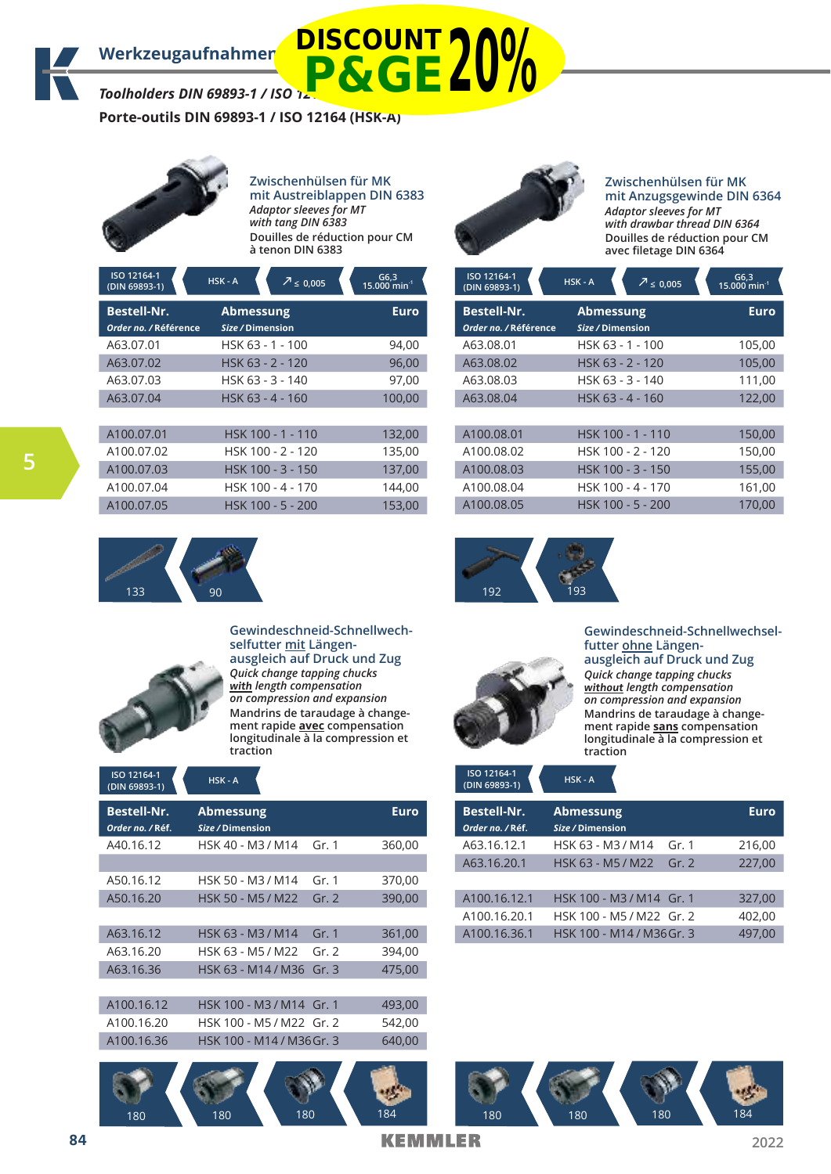*Toolholders DIN 69893-1 / ISO 12164 (HSK-A)*

**Porte-outils DIN 69893-1 / ISO 12164 (HSK-A)**



**Zwischenhülsen für MK mit Austreiblappen DIN 6383**  *Adaptor sleeves for MT with tang DIN 6383* **Douilles de réduction pour CM à tenon DIN 6383**

**P&GE20%**

| ISO 12164-1<br>(DIN 69893-1)                | $HSK - A$                            | $\sqrt{2}$ ≤ 0.005 | G6,3<br>15.000 min <sup>-1</sup> |
|---------------------------------------------|--------------------------------------|--------------------|----------------------------------|
| <b>Bestell-Nr.</b><br>Order no. / Référence | <b>Abmessung</b><br>Size / Dimension |                    | <b>Euro</b>                      |
| A63.07.01                                   |                                      | HSK 63 - 1 - 100   | 94,00                            |
| A63.07.02                                   |                                      | HSK 63 - 2 - 120   | 96,00                            |
| A63.07.03                                   |                                      | HSK 63 - 3 - 140   | 97.00                            |
| A63.07.04                                   |                                      | HSK 63 - 4 - 160   | 100,00                           |
|                                             |                                      |                    |                                  |
| A100.07.01                                  |                                      | HSK 100 - 1 - 110  | 132,00                           |
| A100.07.02                                  |                                      | HSK 100 - 2 - 120  | 135,00                           |
| A100.07.03                                  |                                      | HSK 100 - 3 - 150  | 137,00                           |
| A100.07.04                                  |                                      | HSK 100 - 4 - 170  | 144,00                           |
| A100.07.05                                  |                                      | HSK 100 - 5 - 200  | 153,00                           |
|                                             |                                      |                    |                                  |



### **Zwischenhülsen für MK mit Anzugsgewinde DIN 6364** *Adaptor sleeves for MT with drawbar thread DIN 6364* **Douilles de réduction pour CM avec filetage DIN 6364**

| ISO 12164-1<br>(DIN 69893-1)                | $HSK - A$<br>$\frac{7}{2} \leq 0.005$ | G6,3<br>15.000 min <sup>-1</sup> |
|---------------------------------------------|---------------------------------------|----------------------------------|
| <b>Bestell-Nr.</b><br>Order no. / Référence | <b>Abmessung</b><br>Size / Dimension  | Euro                             |
| A63.08.01                                   | HSK 63 - 1 - 100                      | 105,00                           |
| A63.08.02                                   | HSK 63 - 2 - 120                      | 105,00                           |
| A63.08.03                                   | HSK 63 - 3 - 140                      | 111,00                           |
| A63.08.04                                   | HSK 63 - 4 - 160                      | 122,00                           |
| A100.08.01                                  | HSK 100 - 1 - 110                     | 150,00                           |
| A100.08.02                                  | HSK 100 - 2 - 120                     | 150,00                           |
| A100.08.03                                  | HSK 100 - 3 - 150                     | 155,00                           |
| A100.08.04                                  | HSK 100 - 4 - 170                     | 161,00                           |
| A100.08.05                                  | HSK 100 - 5 - 200                     | 170,00                           |





**Gewindeschneid-Schnellwechselfutter mit Längenausgleich auf Druck und Zug**

*Quick change tapping chucks*  **with** *length compensation on compression and expansion* **Mandrins de taraudage à changement rapide avec compensation longitudinale à la compression et traction**

| ISO 12164-1<br>(DIN 69893-1)           | $HSK - A$                     |       |             |
|----------------------------------------|-------------------------------|-------|-------------|
| <b>Bestell-Nr.</b><br>Order no. / Réf. | Abmessung<br>Size / Dimension |       | <b>Euro</b> |
| A40.16.12                              | HSK 40 - M3 / M14             | Gr. 1 | 360,00      |
|                                        |                               |       |             |
| A50.16.12                              | HSK 50 - M3 / M14             | Gr. 1 | 370,00      |
| A50.16.20                              | HSK 50 - M5 / M22             | Gr. 2 | 390,00      |
|                                        |                               |       |             |
| A63.16.12                              | HSK 63 - M3 / M14             | Gr. 1 | 361,00      |
| A63.16.20                              | HSK 63 - M5 / M22             | Gr. 2 | 394,00      |
| A63.16.36                              | HSK 63 - M14 / M36            | Gr.3  | 475,00      |
|                                        |                               |       |             |
| A100.16.12                             | HSK 100 - M3 / M14 Gr. 1      |       | 493,00      |
| A100.16.20                             | HSK 100 - M5 / M22 Gr. 2      |       | 542,00      |
| A100.16.36                             | HSK 100 - M14 / M36 Gr. 3     |       | 640,00      |
|                                        |                               |       |             |
|                                        |                               |       |             |





**Gewindeschneid-Schnellwechselfutter ohne Längenausgleich auf Druck und Zug** *Quick change tapping chucks*  **without** *length compensation on compression and expansion* **Mandrins de taraudage à changement rapide sans compensation longitudinale à la compression et traction**

**ISO 12164-1**   $(DIN 69893-1)$ 

| HSK - A |  |  |
|---------|--|--|
|         |  |  |

| Bestell-Nr.<br>Order no. / Réf. | <b>Abmessung</b><br>Size / Dimension | <b>Euro</b> |
|---------------------------------|--------------------------------------|-------------|
|                                 |                                      |             |
| A63.16.12.1                     | HSK 63 - M3 / M14<br>Gr. $1$         | 216,00      |
| A63.16.20.1                     | Gr. 2<br>HSK 63 - M5 / M22           | 227,00      |
|                                 |                                      |             |
| A100.16.12.1                    | HSK 100 - M3 / M14 Gr. 1             | 327,00      |
| A100.16.20.1                    | HSK 100 - M5 / M22 Gr. 2             | 402,00      |
| A100.16.36.1                    | HSK 100 - M14 / M36 Gr. 3            | 497.00      |

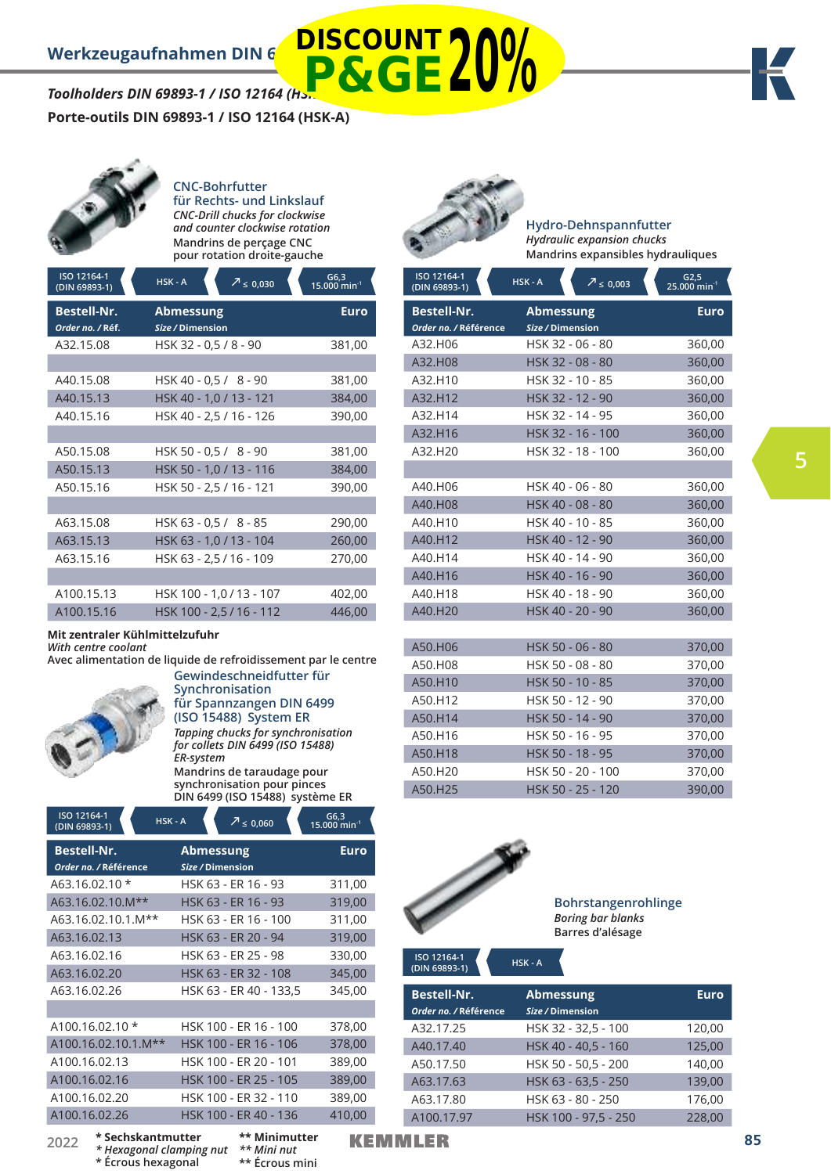# *Toolholders DIN 69893-1 / ISO 12164 (Hsk* **P&GE20%**

**Porte-outils DIN 69893-1 / ISO 12164 (HSK-A)**



# **CNC-Bohrfutter für Rechts- und Linkslauf**

*CNC-Drill chucks for clockwise and counter clockwise rotation* **Mandrins de perçage CNC pour rotation droite-gauche**

| ISO 12164-1<br>(DIN 69893-1)           | $HSK - A$<br>$\frac{7}{2}$ ≤ 0,030   | $G6,3$<br>15.000 min <sup>-1</sup> |
|----------------------------------------|--------------------------------------|------------------------------------|
| <b>Bestell-Nr.</b><br>Order no. / Réf. | <b>Abmessung</b><br>Size / Dimension | <b>Euro</b>                        |
| A32.15.08                              | HSK 32 - 0,5 / 8 - 90                | 381,00                             |
|                                        |                                      |                                    |
| A40.15.08                              | HSK 40 - 0,5 / 8 - 90                | 381,00                             |
| A40.15.13                              | HSK 40 - 1,0 / 13 - 121              | 384,00                             |
| A40.15.16                              | HSK 40 - 2,5 / 16 - 126              | 390,00                             |
|                                        |                                      |                                    |
| A50.15.08                              | HSK 50 - 0,5 / 8 - 90                | 381,00                             |
| A50.15.13                              | HSK 50 - 1,0 / 13 - 116              | 384,00                             |
| A50.15.16                              | HSK 50 - 2,5 / 16 - 121              | 390,00                             |
|                                        |                                      |                                    |
| A63.15.08                              | HSK 63 - 0,5 / 8 - 85                | 290,00                             |
| A63.15.13                              | HSK 63 - 1,0 / 13 - 104              | 260,00                             |
| A63.15.16                              | HSK 63 - 2,5 / 16 - 109              | 270,00                             |
|                                        |                                      |                                    |
| A100.15.13                             | HSK 100 - 1,0 / 13 - 107             | 402,00                             |
| A100.15.16                             | HSK 100 - 2,5 / 16 - 112             | 446,00                             |

**Mit zentraler Kühlmittelzufuhr** 

*With centre coolant* 

**Avec alimentation de liquide de refroidissement par le centre Gewindeschneidfutter für** 



**Synchronisation für Spannzangen DIN 6499 (ISO 15488) System ER** *Tapping chucks for synchronisation for collets DIN 6499 (ISO 15488) ER-system* **Mandrins de taraudage pour** 

**synchronisation pour pinces DIN 6499 (ISO 15488) système ER**

> *\*\* Mini nut*  **\*\* Écrous mini**

| ISO 12164-1<br>HSK - A<br>(DIN 69893-1)     | $2 \le 0,060$                        | G6,3<br>15.000 min <sup>-1</sup> |
|---------------------------------------------|--------------------------------------|----------------------------------|
| <b>Bestell-Nr.</b><br>Order no. / Référence | <b>Abmessung</b><br>Size / Dimension | Euro                             |
| $A63.16.02.10*$                             | HSK 63 - ER 16 - 93                  | 311,00                           |
| A63.16.02.10.M**                            | HSK 63 - ER 16 - 93                  | 319,00                           |
| A63.16.02.10.1.M**                          | HSK 63 - ER 16 - 100                 | 311,00                           |
| A63.16.02.13                                | HSK 63 - ER 20 - 94                  | 319,00                           |
| A63.16.02.16                                | HSK 63 - ER 25 - 98                  | 330,00                           |
| A63.16.02.20                                | HSK 63 - ER 32 - 108                 | 345,00                           |
| A63.16.02.26                                | HSK 63 - ER 40 - 133,5               | 345,00                           |
|                                             |                                      |                                  |
| $A100.16.02.10*$                            | HSK 100 - ER 16 - 100                | 378,00                           |
| A100.16.02.10.1.M**                         | HSK 100 - ER 16 - 106                | 378,00                           |
| A100.16.02.13                               | HSK 100 - ER 20 - 101                | 389,00                           |
| A100.16.02.16                               | HSK 100 - ER 25 - 105                | 389,00                           |
| A100.16.02.20                               | HSK 100 - ER 32 - 110                | 389,00                           |
| A100.16.02.26                               | HSK 100 - ER 40 - 136                | 410,00                           |
| * Sechskantmutter<br>วกวว                   | ** Minimutter                        | <u> 14 - I</u>                   |

*\* Hexagonal clamping nut*  **\* Écrous hexagonal**

**DISCOUNT**

**Hydro-Dehnspannfutter** *Hydraulic expansion chucks* **Mandrins expansibles hydrauliques**

| ISO 12164-1<br>(DIN 69893-1)         | HSK-A<br>$7 \le 0,003$               | $G2,5$<br>25.000 min <sup>-1</sup> |
|--------------------------------------|--------------------------------------|------------------------------------|
| Bestell-Nr.<br>Order no. / Référence | <b>Abmessung</b><br>Size / Dimension | <b>Euro</b>                        |
| A32.H06                              | HSK 32 - 06 - 80                     | 360,00                             |
| A32.H08                              | HSK 32 - 08 - 80                     | 360,00                             |
| A32.H10                              | HSK 32 - 10 - 85                     | 360,00                             |
| A32.H12                              | HSK 32 - 12 - 90                     | 360,00                             |
| A32.H14                              | HSK 32 - 14 - 95                     | 360,00                             |
| A32.H16                              | HSK 32 - 16 - 100                    | 360,00                             |
| A32.H20                              | HSK 32 - 18 - 100                    | 360,00                             |
|                                      |                                      |                                    |
| A40.H06                              | HSK 40 - 06 - 80                     | 360,00                             |
| A40.H08                              | HSK 40 - 08 - 80                     | 360,00                             |
| A40.H10                              | HSK 40 - 10 - 85                     | 360,00                             |
| A40.H12                              | HSK 40 - 12 - 90                     | 360,00                             |
| A40.H14                              | HSK 40 - 14 - 90                     | 360,00                             |
| A40.H16                              | HSK 40 - 16 - 90                     | 360,00                             |
| A40.H18                              | HSK 40 - 18 - 90                     | 360,00                             |
| A40.H20                              | HSK 40 - 20 - 90                     | 360,00                             |
|                                      |                                      |                                    |
| A50.H06                              | HSK 50 - 06 - 80                     | 370,00                             |
| A50.H08                              | HSK 50 - 08 - 80                     | 370,00                             |
| A50.H10                              | HSK 50 - 10 - 85                     | 370,00                             |
| A50.H12                              | HSK 50 - 12 - 90                     | 370,00                             |
| A50.H14                              | HSK 50 - 14 - 90                     | 370,00                             |
| A50.H16                              | HSK 50 - 16 - 95                     | 370,00                             |
| A50.H18                              | HSK 50 - 18 - 95                     | 370,00                             |
| A50.H20                              | HSK 50 - 20 - 100                    | 370,00                             |
| A50.H25                              | HSK 50 - 25 - 120                    | 390,00                             |



**Bohrstangenrohlinge**  *Boring bar blanks*  **Barres d'alésage** 

**Bestell-Nr. Abmessung Euro** *Order no. /* **Référence** *Size /* **Dimension** A32.17.25 HSK 32 - 32,5 - 100 120,00 A40.17.40 HSK 40 - 40,5 - 160 125,00 A50.17.50 HSK 50 - 50,5 - 200 140,00 A63.17.63 HSK 63 - 63,5 - 250 139,00 A63.17.80 HSK 63 - 80 - 250 176,00 A100.17.97 HSK 100 - 97,5 - 250 228,00 **ISO 12164-1 (DIN 69893-1) HSK - A**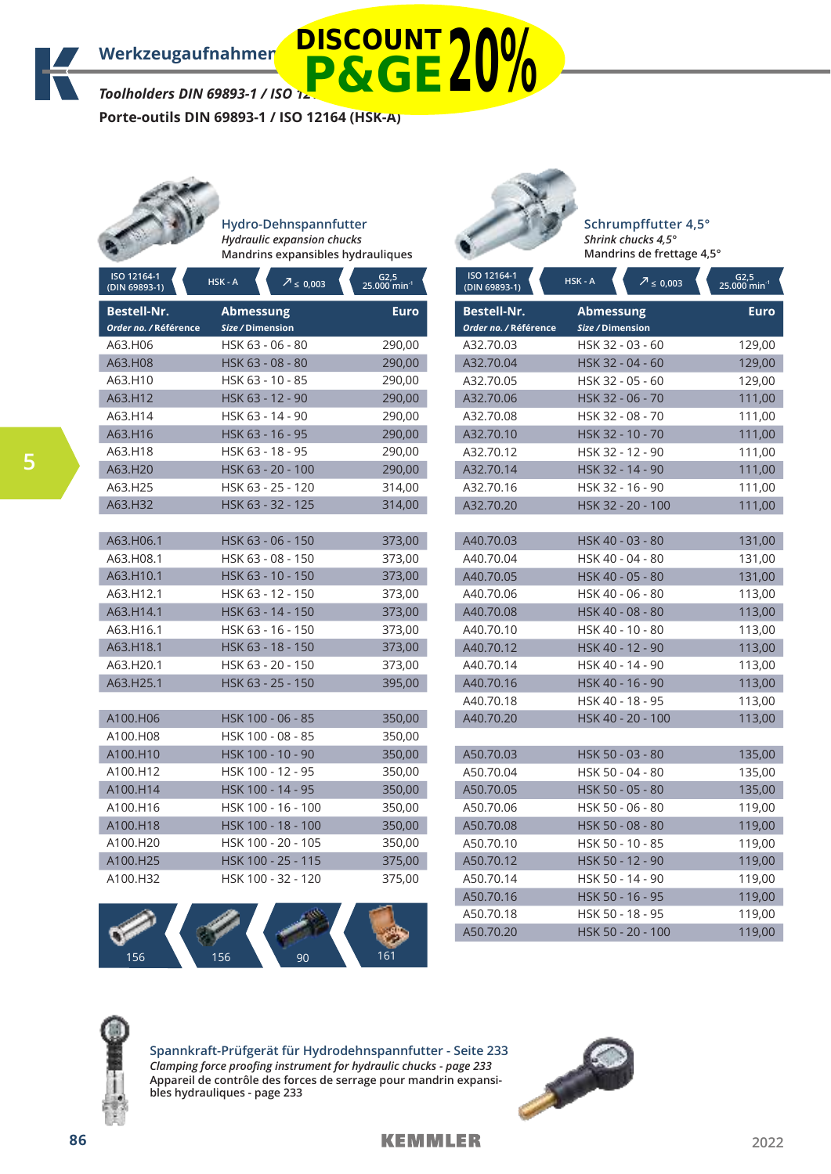*Toolholders DIN 69893-1 / ISO 12164 (HSK-A)* **P&GE20%**

**Porte-outils DIN 69893-1 / ISO 12164 (HSK-A)**



**Hydro-Dehnspannfutter** *Hydraulic expansion chucks* **Mandrins expansibles hydrauliques**

| ISO 12164-1<br>(DIN 69893-1)                | HSK-A<br>$7 \le 0,003$               | $G2,5$<br>25.000 min <sup>-1</sup> |
|---------------------------------------------|--------------------------------------|------------------------------------|
| <b>Bestell-Nr.</b><br>Order no. / Référence | <b>Abmessung</b><br>Size / Dimension | <b>Euro</b>                        |
| A63.H06                                     | HSK 63 - 06 - 80                     | 290,00                             |
| A63.H08                                     | HSK 63 - 08 - 80                     | 290,00                             |
| A63.H10                                     | HSK 63 - 10 - 85                     | 290,00                             |
| A63.H12                                     | HSK 63 - 12 - 90                     | 290,00                             |
| A63.H14                                     | HSK 63 - 14 - 90                     | 290,00                             |
| A63.H16                                     | HSK 63 - 16 - 95                     | 290,00                             |
| A63.H18                                     | HSK 63 - 18 - 95                     | 290,00                             |
| A63.H20                                     | HSK 63 - 20 - 100                    | 290,00                             |
| A63.H25                                     | HSK 63 - 25 - 120                    | 314,00                             |
| A63.H32                                     | HSK 63 - 32 - 125                    | 314,00                             |
|                                             |                                      |                                    |
| A63.H06.1                                   | HSK 63 - 06 - 150                    | 373,00                             |
| A63.H08.1                                   | HSK 63 - 08 - 150                    | 373,00                             |
| A63.H10.1                                   | HSK 63 - 10 - 150                    | 373,00                             |
| A63.H12.1                                   | HSK 63 - 12 - 150                    | 373,00                             |
| A63.H14.1                                   | HSK 63 - 14 - 150                    | 373,00                             |
| A63.H16.1                                   | HSK 63 - 16 - 150                    | 373,00                             |
| A63.H18.1                                   | HSK 63 - 18 - 150                    | 373,00                             |
| A63.H20.1                                   | HSK 63 - 20 - 150                    | 373,00                             |
| A63.H25.1                                   | HSK 63 - 25 - 150                    | 395,00                             |
|                                             |                                      |                                    |
| A100.H06                                    | HSK 100 - 06 - 85                    | 350,00                             |
| A100.H08                                    | HSK 100 - 08 - 85                    | 350,00                             |
| A100.H10                                    | HSK 100 - 10 - 90                    | 350,00                             |
| A100.H12                                    | HSK 100 - 12 - 95                    | 350,00                             |
| A100.H14                                    | HSK 100 - 14 - 95                    | 350,00                             |
| A100.H16                                    | HSK 100 - 16 - 100                   | 350,00                             |
| A100.H18                                    | HSK 100 - 18 - 100                   | 350,00                             |
| A100.H20                                    | HSK 100 - 20 - 105                   | 350,00                             |
| A100.H25                                    | HSK 100 - 25 - 115                   | 375,00                             |
| A100.H32                                    | HSK 100 - 32 - 120                   | 375,00                             |



**Schrumpffutter 4,5°** *Shrink chucks 4,5°* **Mandrins de frettage 4,5°**

| ISO 12164-1<br>(DIN 69893-1)                | HSK-A<br>$7 \le 0,003$               | G2,5<br>$25.000$ min <sup>-1</sup> |
|---------------------------------------------|--------------------------------------|------------------------------------|
| <b>Bestell-Nr.</b><br>Order no. / Référence | <b>Abmessung</b><br>Size / Dimension | <b>Euro</b>                        |
| A32.70.03                                   | HSK 32 - 03 - 60                     | 129,00                             |
| A32.70.04                                   | HSK 32 - 04 - 60                     | 129,00                             |
| A32.70.05                                   | HSK 32 - 05 - 60                     | 129,00                             |
| A32.70.06                                   | HSK 32 - 06 - 70                     | 111,00                             |
| A32.70.08                                   | HSK 32 - 08 - 70                     | 111,00                             |
| A32.70.10                                   | HSK 32 - 10 - 70                     | 111,00                             |
| A32.70.12                                   | HSK 32 - 12 - 90                     | 111,00                             |
| A32.70.14                                   | HSK 32 - 14 - 90                     | 111,00                             |
| A32.70.16                                   | HSK 32 - 16 - 90                     | 111,00                             |
| A32.70.20                                   | HSK 32 - 20 - 100                    | 111,00                             |
|                                             |                                      |                                    |
| A40.70.03                                   | HSK 40 - 03 - 80                     | 131,00                             |
| A40.70.04                                   | HSK 40 - 04 - 80                     | 131,00                             |
| A40.70.05                                   | HSK 40 - 05 - 80                     | 131,00                             |
| A40.70.06                                   | HSK 40 - 06 - 80                     | 113,00                             |
| A40.70.08                                   | HSK 40 - 08 - 80                     | 113,00                             |
| A40.70.10                                   | HSK 40 - 10 - 80                     | 113,00                             |
| A40.70.12                                   | HSK 40 - 12 - 90                     | 113,00                             |
| A40.70.14                                   | HSK 40 - 14 - 90                     | 113,00                             |
| A40.70.16                                   | HSK 40 - 16 - 90                     | 113,00                             |
| A40.70.18                                   | HSK 40 - 18 - 95                     | 113,00                             |
| A40.70.20                                   | HSK 40 - 20 - 100                    | 113,00                             |
|                                             |                                      |                                    |
| A50.70.03                                   | HSK 50 - 03 - 80                     | 135,00                             |
| A50.70.04                                   | HSK 50 - 04 - 80                     | 135,00                             |
| A50.70.05                                   | HSK 50 - 05 - 80                     | 135,00                             |
| A50.70.06                                   | HSK 50 - 06 - 80                     | 119,00                             |
| A50.70.08                                   | HSK 50 - 08 - 80                     | 119,00                             |
| A50.70.10                                   | HSK 50 - 10 - 85                     | 119,00                             |
| A50.70.12                                   | HSK 50 - 12 - 90                     | 119,00                             |
| A50.70.14                                   | HSK 50 - 14 - 90                     | 119,00                             |
| A50.70.16                                   | HSK 50 - 16 - 95                     | 119,00                             |
| A50.70.18                                   | HSK 50 - 18 - 95                     | 119,00                             |
| A50.70.20                                   | HSK 50 - 20 - 100                    | 119,00                             |





**Spannkraft-Prüfgerät für Hydrodehnspannfutter - Seite 233** *Clamping force proofing instrument for hydraulic chucks - page 233* **Appareil de contrôle des forces de serrage pour mandrin expansibles hydrauliques - page 233**

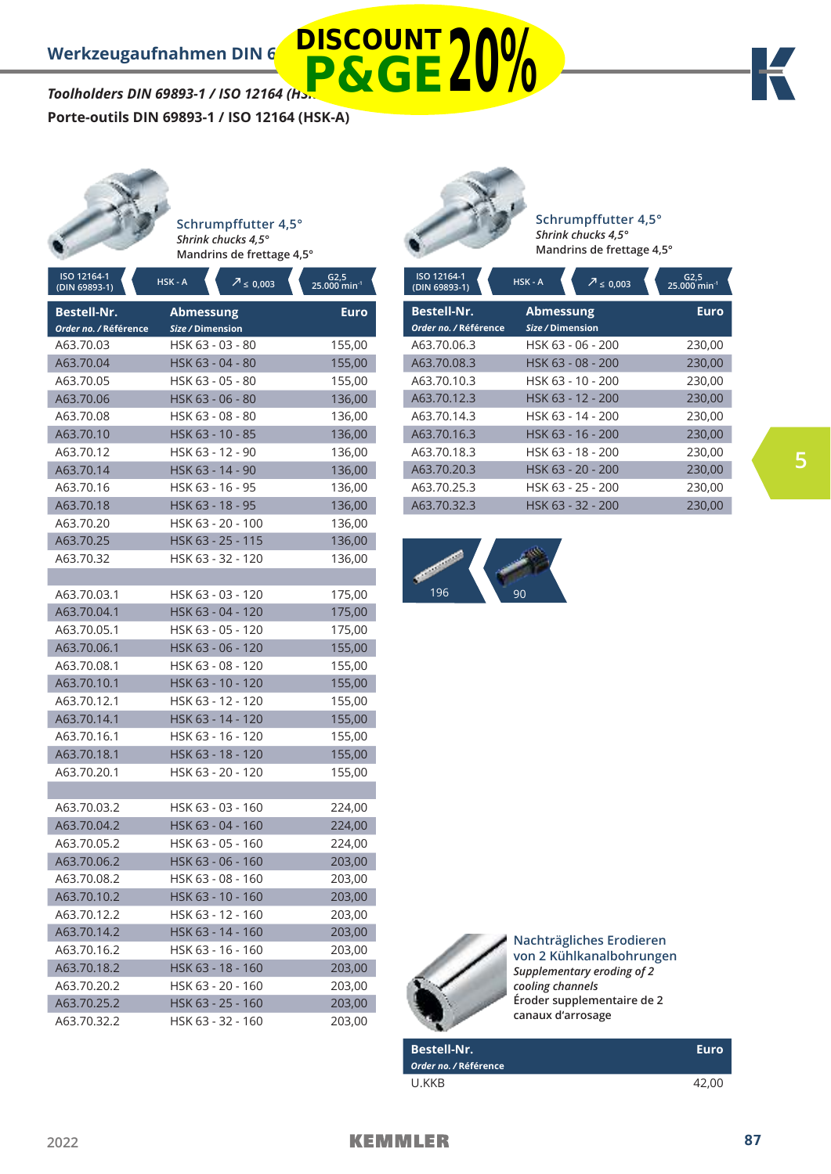*Toolholders DIN 69893-1 / ISO 12164 (HSK-A)* **Porte-outils DIN 69893-1 / ISO 12164 (HSK-A) P&GE20%**

**Schrumpffutter 4,5°** *Shrink chucks 4,5°* **Mandrins de frettage 4,5°**

| ISO 12164-1<br>(DIN 69893-1) | HSK-A<br>$7 \le 0,003$ | $G2,5$<br>25.000 min <sup>-1</sup> |
|------------------------------|------------------------|------------------------------------|
| <b>Bestell-Nr.</b>           | <b>Abmessung</b>       | <b>Euro</b>                        |
| Order no. / Référence        | Size / Dimension       |                                    |
| A63.70.03                    | HSK 63 - 03 - 80       | 155,00                             |
| A63.70.04                    | HSK 63 - 04 - 80       | 155,00                             |
| A63.70.05                    | HSK 63 - 05 - 80       | 155,00                             |
| A63.70.06                    | HSK 63 - 06 - 80       | 136,00                             |
| A63.70.08                    | HSK 63 - 08 - 80       | 136,00                             |
| A63.70.10                    | HSK 63 - 10 - 85       | 136,00                             |
| A63.70.12                    | HSK 63 - 12 - 90       | 136,00                             |
| A63.70.14                    | HSK 63 - 14 - 90       | 136,00                             |
| A63.70.16                    | HSK 63 - 16 - 95       | 136,00                             |
| A63.70.18                    | HSK 63 - 18 - 95       | 136,00                             |
| A63.70.20                    | HSK 63 - 20 - 100      | 136,00                             |
| A63.70.25                    | HSK 63 - 25 - 115      | 136,00                             |
| A63.70.32                    | HSK 63 - 32 - 120      | 136,00                             |
|                              |                        |                                    |
| A63.70.03.1                  | HSK 63 - 03 - 120      | 175,00                             |
| A63.70.04.1                  | HSK 63 - 04 - 120      | 175,00                             |
| A63.70.05.1                  | HSK 63 - 05 - 120      | 175,00                             |
| A63.70.06.1                  | HSK 63 - 06 - 120      | 155,00                             |
| A63.70.08.1                  | HSK 63 - 08 - 120      | 155,00                             |
| A63.70.10.1                  | HSK 63 - 10 - 120      | 155,00                             |
| A63.70.12.1                  | HSK 63 - 12 - 120      | 155,00                             |
| A63.70.14.1                  | HSK 63 - 14 - 120      | 155,00                             |
| A63.70.16.1                  | HSK 63 - 16 - 120      | 155,00                             |
| A63.70.18.1                  | HSK 63 - 18 - 120      | 155,00                             |
| A63.70.20.1                  | HSK 63 - 20 - 120      | 155,00                             |
|                              |                        |                                    |
| A63.70.03.2                  | HSK 63 - 03 - 160      | 224,00                             |
| A63.70.04.2                  | HSK 63 - 04 - 160      | 224,00                             |
| A63.70.05.2                  | HSK 63 - 05 - 160      | 224,00                             |
| A63.70.06.2                  | HSK 63 - 06 - 160      | 203,00                             |
| A63.70.08.2                  | HSK 63 - 08 - 160      | 203,00                             |
| A63.70.10.2                  | HSK 63 - 10 - 160      | 203,00                             |
| A63.70.12.2                  | HSK 63 - 12 - 160      | 203,00                             |
| A63.70.14.2                  | HSK 63 - 14 - 160      | 203,00                             |
| A63.70.16.2                  | HSK 63 - 16 - 160      | 203,00                             |
| A63.70.18.2                  | HSK 63 - 18 - 160      | 203,00                             |
| A63.70.20.2                  | HSK 63 - 20 - 160      | 203,00                             |
| A63.70.25.2                  | HSK 63 - 25 - 160      | 203,00                             |
| A63.70.32.2                  | HSK 63 - 32 - 160      | 203,00                             |



**DISCOUNT**

**Schrumpffutter 4,5°** *Shrink chucks 4,5°* **Mandrins de frettage 4,5°**

| ISO 12164-1<br>(DIN 69893-1) | HSK - A<br>$7 \le 0,003$ | $G2,5$<br>25.000 min <sup>-1</sup> |
|------------------------------|--------------------------|------------------------------------|
| <b>Bestell-Nr.</b>           | <b>Abmessung</b>         | <b>Euro</b>                        |
| Order no. / Référence        | Size / Dimension         |                                    |
| A63.70.06.3                  | HSK 63 - 06 - 200        | 230,00                             |
| A63.70.08.3                  | HSK 63 - 08 - 200        | 230,00                             |
| A63.70.10.3                  | HSK 63 - 10 - 200        | 230,00                             |
| A63.70.12.3                  | HSK 63 - 12 - 200        | 230,00                             |
| A63.70.14.3                  | HSK 63 - 14 - 200        | 230,00                             |
| A63.70.16.3                  | HSK 63 - 16 - 200        | 230,00                             |
| A63.70.18.3                  | HSK 63 - 18 - 200        | 230,00                             |
| A63.70.20.3                  | HSK 63 - 20 - 200        | 230,00                             |
| A63.70.25.3                  | HSK 63 - 25 - 200        | 230,00                             |
| A63.70.32.3                  | HSK 63 - 32 - 200        | 230.00                             |





**Nachträgliches Erodieren von 2 Kühlkanalbohrungen** *Supplementary eroding of 2 cooling channels* **Éroder supplementaire de 2 canaux d'arrosage**

**Bestell-Nr. Euro** *Order no. /* **Référence** U.KKB 42,00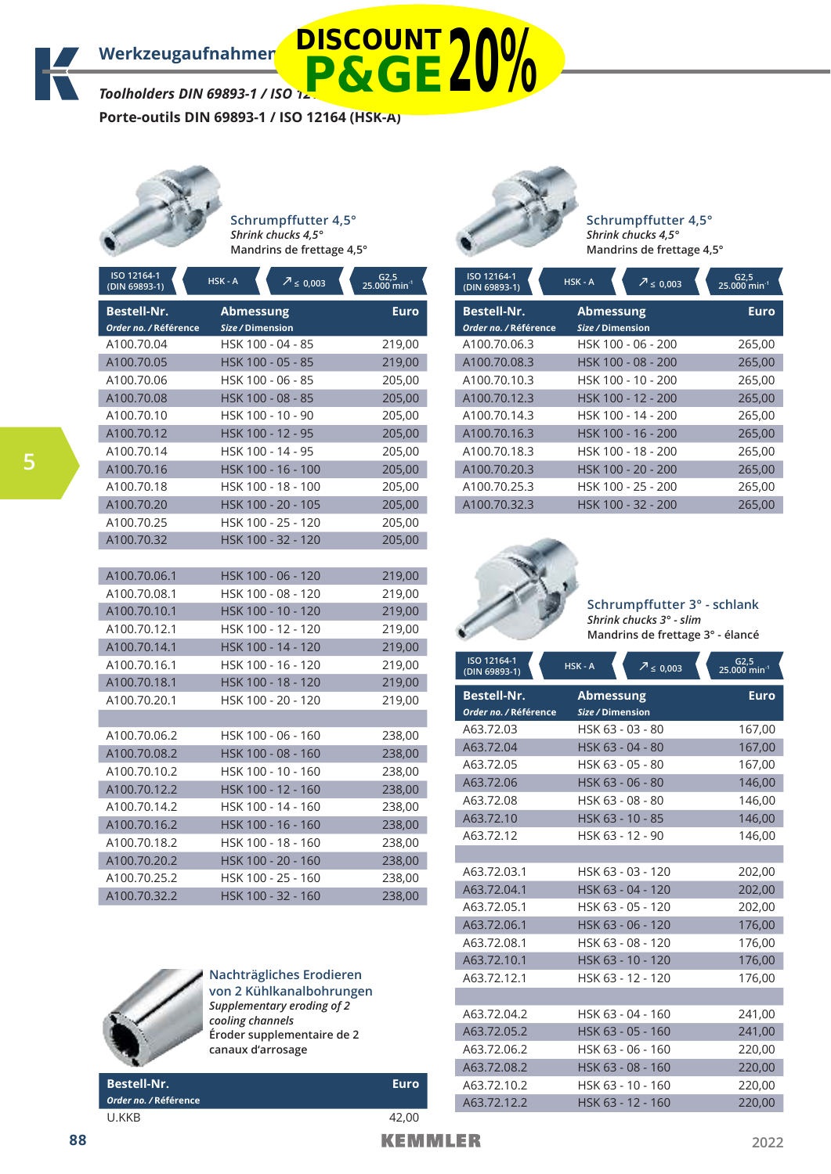*Toolholders DIN 69893-1 / ISO 12* **P&GE20%**

**Porte-outils DIN 69893-1 / ISO 12164 (HSK-A)**



**5**

**Schrumpffutter 4,5°** *Shrink chucks 4,5°* **Mandrins de frettage 4,5°**

| ISO 12164-1<br>(DIN 69893-1) | HSK-A<br>$2 \le 0,003$ | $G2,5$<br>25.000 min <sup>-1</sup> |
|------------------------------|------------------------|------------------------------------|
| <b>Bestell-Nr.</b>           | <b>Abmessung</b>       | <b>Euro</b>                        |
| Order no. / Référence        | Size / Dimension       |                                    |
| A100.70.04                   | HSK 100 - 04 - 85      | 219,00                             |
| A100.70.05                   | HSK 100 - 05 - 85      | 219,00                             |
| A100.70.06                   | HSK 100 - 06 - 85      | 205,00                             |
| A100.70.08                   | HSK 100 - 08 - 85      | 205,00                             |
| A100.70.10                   | HSK 100 - 10 - 90      | 205,00                             |
| A100.70.12                   | HSK 100 - 12 - 95      | 205,00                             |
| A100.70.14                   | HSK 100 - 14 - 95      | 205,00                             |
| A100.70.16                   | HSK 100 - 16 - 100     | 205,00                             |
| A100.70.18                   | HSK 100 - 18 - 100     | 205,00                             |
| A100.70.20                   | HSK 100 - 20 - 105     | 205,00                             |
| A100.70.25                   | HSK 100 - 25 - 120     | 205,00                             |
| A100.70.32                   | HSK 100 - 32 - 120     | 205,00                             |
|                              |                        |                                    |
| A100.70.06.1                 | HSK 100 - 06 - 120     | 219,00                             |
| A100.70.08.1                 | HSK 100 - 08 - 120     | 219,00                             |
| A100.70.10.1                 | HSK 100 - 10 - 120     | 219,00                             |
| A100.70.12.1                 | HSK 100 - 12 - 120     | 219,00                             |
| A100.70.14.1                 | HSK 100 - 14 - 120     | 219,00                             |
| A100.70.16.1                 | HSK 100 - 16 - 120     | 219,00                             |
| A100.70.18.1                 | HSK 100 - 18 - 120     | 219,00                             |
| A100.70.20.1                 | HSK 100 - 20 - 120     | 219,00                             |
|                              |                        |                                    |
| A100.70.06.2                 | HSK 100 - 06 - 160     | 238,00                             |
| A100.70.08.2                 | HSK 100 - 08 - 160     | 238,00                             |
| A100.70.10.2                 | HSK 100 - 10 - 160     | 238,00                             |
| A100.70.12.2                 | HSK 100 - 12 - 160     | 238,00                             |
| A100.70.14.2                 | HSK 100 - 14 - 160     | 238,00                             |
| A100.70.16.2                 | HSK 100 - 16 - 160     | 238,00                             |
| A100.70.18.2                 | HSK 100 - 18 - 160     | 238,00                             |
| A100.70.20.2                 | HSK 100 - 20 - 160     | 238,00                             |
| A100.70.25.2                 | HSK 100 - 25 - 160     | 238,00                             |
| A100.70.32.2                 | HSK 100 - 32 - 160     | 238,00                             |



# **Nachträgliches Erodieren von 2 Kühlkanalbohrungen** *Supplementary eroding of 2 cooling channels* **Éroder supplementaire de 2 canaux d'arrosage**

**Bestell-Nr. Euro** *Order no. /* **Référence** U.KKB 42,00



**Schrumpffutter 4,5°** *Shrink chucks 4,5°* **Mandrins de frettage 4,5°**

| ISO 12164-1<br>(DIN 69893-1)                | HSK-A<br>$\sqrt{7} \le 0.003$        | G2,5<br>25.000 min <sup>-1</sup> |
|---------------------------------------------|--------------------------------------|----------------------------------|
| <b>Bestell-Nr.</b><br>Order no. / Référence | <b>Abmessung</b><br>Size / Dimension | <b>Euro</b>                      |
| A100.70.06.3                                | HSK 100 - 06 - 200                   | 265,00                           |
| A100.70.08.3                                | HSK 100 - 08 - 200                   | 265,00                           |
| A100.70.10.3                                | HSK 100 - 10 - 200                   | 265,00                           |
| A100.70.12.3                                | HSK 100 - 12 - 200                   | 265,00                           |
| A100.70.14.3                                | HSK 100 - 14 - 200                   | 265,00                           |
| A100.70.16.3                                | HSK 100 - 16 - 200                   | 265,00                           |
| A100.70.18.3                                | HSK 100 - 18 - 200                   | 265,00                           |
| A100.70.20.3                                | HSK 100 - 20 - 200                   | 265,00                           |
| A100.70.25.3                                | HSK 100 - 25 - 200                   | 265,00                           |
| A100.70.32.3                                | HSK 100 - 32 - 200                   | 265,00                           |



**Schrumpffutter 3° - schlank** *Shrink chucks 3° - slim* **Mandrins de frettage 3° - élancé**

| ISO 12164-1<br>(DIN 69893-1) | $HSK - A$<br>$\sqrt{7}$ $\leq$ 0,003 | $G2,5$<br>25.000 min <sup>-1</sup> |
|------------------------------|--------------------------------------|------------------------------------|
| <b>Bestell-Nr.</b>           | <b>Abmessung</b>                     | <b>Euro</b>                        |
| Order no. / Référence        | Size / Dimension                     |                                    |
| A63.72.03                    | HSK 63 - 03 - 80                     | 167,00                             |
| A63.72.04                    | HSK 63 - 04 - 80                     | 167,00                             |
| A63.72.05                    | HSK 63 - 05 - 80                     | 167,00                             |
| A63.72.06                    | HSK 63 - 06 - 80                     | 146,00                             |
| A63.72.08                    | HSK 63 - 08 - 80                     | 146,00                             |
| A63.72.10                    | HSK 63 - 10 - 85                     | 146,00                             |
| A63.72.12                    | HSK 63 - 12 - 90                     | 146,00                             |
|                              |                                      |                                    |
| A63.72.03.1                  | HSK 63 - 03 - 120                    | 202,00                             |
| A63.72.04.1                  | HSK 63 - 04 - 120                    | 202,00                             |
| A63.72.05.1                  | HSK 63 - 05 - 120                    | 202,00                             |
| A63.72.06.1                  | HSK 63 - 06 - 120                    | 176,00                             |
| A63.72.08.1                  | HSK 63 - 08 - 120                    | 176,00                             |
| A63.72.10.1                  | HSK 63 - 10 - 120                    | 176,00                             |
| A63.72.12.1                  | HSK 63 - 12 - 120                    | 176,00                             |
|                              |                                      |                                    |
| A63.72.04.2                  | HSK 63 - 04 - 160                    | 241,00                             |
| A63.72.05.2                  | HSK 63 - 05 - 160                    | 241,00                             |
| A63.72.06.2                  | HSK 63 - 06 - 160                    | 220,00                             |
| A63.72.08.2                  | HSK 63 - 08 - 160                    | 220,00                             |
| A63.72.10.2                  | HSK 63 - 10 - 160                    | 220,00                             |
| A63.72.12.2                  | HSK 63 - 12 - 160                    | 220.00                             |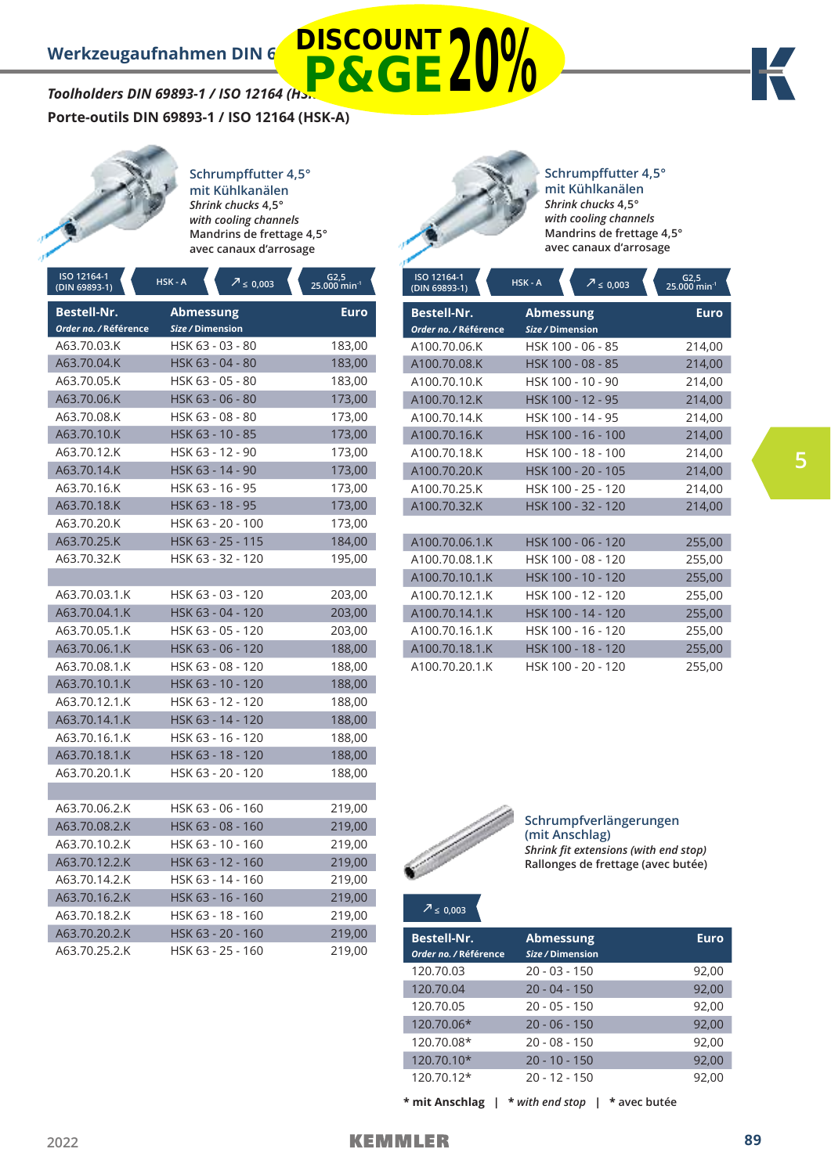# *Toolholders DIN 69893-1 / ISO 12164 (Hs.* **DISCOUNT P&GE20%**

**Porte-outils DIN 69893-1 / ISO 12164 (HSK-A)**



**Schrumpffutter 4,5° mit Kühl kanälen** *Shrink chucks* **4,5°** *with cooling channels*  **Mandrins de frettage 4,5° avec canaux d'arrosage**

| ISO 12164-1<br>(DIN 69893-1)                | HSK-A<br>$2 \le 0,003$        | $62,5$<br>25.000 min <sup>-1</sup> |
|---------------------------------------------|-------------------------------|------------------------------------|
| <b>Bestell-Nr.</b><br>Order no. / Référence | Abmessung<br>Size / Dimension | Euro                               |
| A63.70.03.K                                 | HSK 63 - 03 - 80              | 183,00                             |
| A63.70.04.K                                 | HSK 63 - 04 - 80              | 183,00                             |
| A63.70.05.K                                 | HSK 63 - 05 - 80              | 183,00                             |
| A63.70.06.K                                 | HSK 63 - 06 - 80              | 173,00                             |
| A63.70.08.K                                 | HSK 63 - 08 - 80              | 173,00                             |
| A63.70.10.K                                 | HSK 63 - 10 - 85              | 173,00                             |
| A63.70.12.K                                 | HSK 63 - 12 - 90              | 173,00                             |
| A63.70.14.K                                 | HSK 63 - 14 - 90              | 173,00                             |
| A63.70.16.K                                 | HSK 63 - 16 - 95              | 173,00                             |
| A63.70.18.K                                 | HSK 63 - 18 - 95              | 173,00                             |
| A63.70.20.K                                 | HSK 63 - 20 - 100             | 173,00                             |
| A63.70.25.K                                 | HSK 63 - 25 - 115             | 184,00                             |
| A63.70.32.K                                 | HSK 63 - 32 - 120             | 195,00                             |
|                                             |                               |                                    |
| A63.70.03.1.K                               | HSK 63 - 03 - 120             | 203,00                             |
| A63.70.04.1.K                               | HSK 63 - 04 - 120             | 203,00                             |
| A63.70.05.1.K                               | HSK 63 - 05 - 120             | 203,00                             |
| A63.70.06.1.K                               | HSK 63 - 06 - 120             | 188,00                             |
| A63.70.08.1.K                               | HSK 63 - 08 - 120             | 188,00                             |
| A63.70.10.1.K                               | HSK 63 - 10 - 120             | 188,00                             |
| A63.70.12.1.K                               | HSK 63 - 12 - 120             | 188,00                             |
| A63.70.14.1.K                               | HSK 63 - 14 - 120             | 188,00                             |
| A63.70.16.1.K                               | HSK 63 - 16 - 120             | 188,00                             |
| A63.70.18.1.K                               | HSK 63 - 18 - 120             | 188,00                             |
| A63.70.20.1.K                               | HSK 63 - 20 - 120             | 188,00                             |
|                                             |                               |                                    |
| A63.70.06.2.K                               | HSK 63 - 06 - 160             | 219,00                             |
| A63.70.08.2.K                               | HSK 63 - 08 - 160             | 219,00                             |
| A63.70.10.2.K                               | HSK 63 - 10 - 160             | 219,00                             |
| A63.70.12.2.K                               | HSK 63 - 12 - 160             | 219,00                             |
| A63.70.14.2.K                               | HSK 63 - 14 - 160             | 219,00                             |
| A63.70.16.2.K                               | HSK 63 - 16 - 160             | 219,00                             |
| A63.70.18.2.K                               | HSK 63 - 18 - 160             | 219,00                             |
| A63.70.20.2.K                               | HSK 63 - 20 - 160             | 219,00                             |
| A63.70.25.2.K                               | HSK 63 - 25 - 160             | 219,00                             |



**Schrumpffutter 4,5° mit Kühl kanälen** *Shrink chucks* **4,5°** *with cooling channels*  **Mandrins de frettage 4,5° avec canaux d'arrosage**

| ISO 12164-1<br>(DIN 69893-1)                | HSK-A<br>$\sqrt{7}$ $\leq$ 0,003     | $G2,5$<br>25.000 min <sup>-1</sup> |
|---------------------------------------------|--------------------------------------|------------------------------------|
| <b>Bestell-Nr.</b><br>Order no. / Référence | <b>Abmessung</b><br>Size / Dimension | <b>Euro</b>                        |
| A100.70.06.K                                | HSK 100 - 06 - 85                    | 214,00                             |
| A100.70.08.K                                | HSK 100 - 08 - 85                    | 214,00                             |
| A100.70.10.K                                | HSK 100 - 10 - 90                    | 214,00                             |
| A100.70.12.K                                | HSK 100 - 12 - 95                    | 214,00                             |
| A100.70.14.K                                | HSK 100 - 14 - 95                    | 214,00                             |
| A100.70.16.K                                | HSK 100 - 16 - 100                   | 214,00                             |
| A100.70.18.K                                | HSK 100 - 18 - 100                   | 214,00                             |
| A100.70.20.K                                | HSK 100 - 20 - 105                   | 214,00                             |
| A100.70.25.K                                | HSK 100 - 25 - 120                   | 214,00                             |
| A100.70.32.K                                | HSK 100 - 32 - 120                   | 214,00                             |
|                                             |                                      |                                    |
| A100.70.06.1.K                              | HSK 100 - 06 - 120                   | 255,00                             |
| A100.70.08.1.K                              | HSK 100 - 08 - 120                   | 255,00                             |
| A100.70.10.1.K                              | HSK 100 - 10 - 120                   | 255,00                             |
| A100.70.12.1.K                              | HSK 100 - 12 - 120                   | 255,00                             |
| A100.70.14.1.K                              | HSK 100 - 14 - 120                   | 255,00                             |
| A100.70.16.1.K                              | HSK 100 - 16 - 120                   | 255,00                             |
| A100.70.18.1.K                              | HSK 100 - 18 - 120                   | 255,00                             |
| A100.70.20.1.K                              | HSK 100 - 20 - 120                   | 255,00                             |



# **Schrumpfverlängerungen (mit Anschlag)** *Shrink fit extensions (with end stop)* **Rallonges de frettage (avec butée)**

**<sup>≤</sup> 0,003**

| <b>Bestell-Nr.</b><br>Order no. / Référence | <b>Abmessung</b><br>Size / Dimension | Euro  |
|---------------------------------------------|--------------------------------------|-------|
| 120.70.03                                   | $20 - 03 - 150$                      | 92,00 |
| 120.70.04                                   | $20 - 04 - 150$                      | 92,00 |
| 120.70.05                                   | $20 - 05 - 150$                      | 92,00 |
| 120.70.06*                                  | $20 - 06 - 150$                      | 92,00 |
| 120.70.08*                                  | $20 - 08 - 150$                      | 92,00 |
| 120.70.10*                                  | $20 - 10 - 150$                      | 92.00 |
| $120.70.12*$                                | $20 - 12 - 150$                      | 92,00 |

**\* mit Anschlag | \*** *with end stop* **| \* avec butée**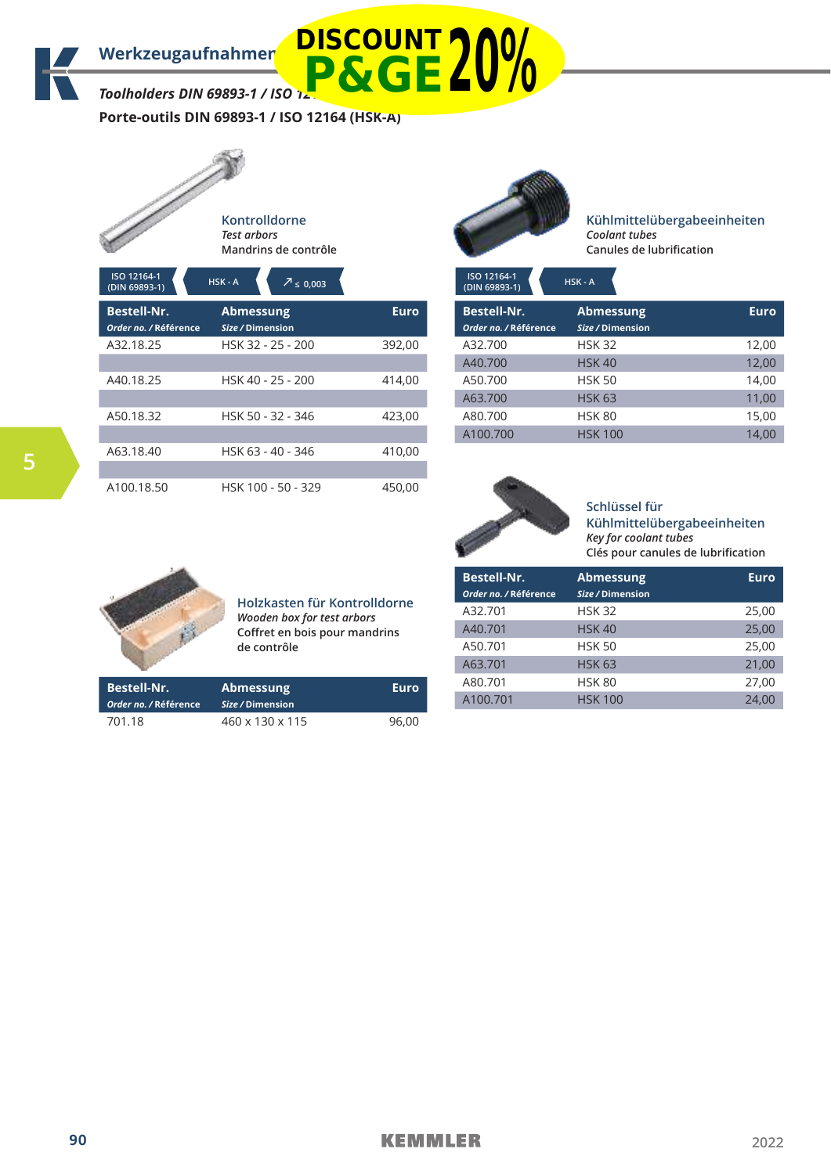*Toolholders DIN 69893-1 / ISO 12* **P&GE20%**

**Porte-outils DIN 69893-1 / ISO 12164 (HSK-A)**



|            |  |  | ontrolldorne) |  |  |
|------------|--|--|---------------|--|--|
| est arbors |  |  |               |  |  |
|            |  |  |               |  |  |

**Mandrins de contrôle**

| ISO 12164-1<br>(DIN 69893-1)                | HSK-A<br>$\overline{7} \leq 0.003$   |             | ISO 12164-1<br>(DIN 69893-1)                | HSK-A                  |
|---------------------------------------------|--------------------------------------|-------------|---------------------------------------------|------------------------|
| <b>Bestell-Nr.</b><br>Order no. / Référence | <b>Abmessung</b><br>Size / Dimension | <b>Euro</b> | <b>Bestell-Nr.</b><br>Order no. / Référence | Ab<br><b>Size</b>      |
| A32.18.25                                   | HSK 32 - 25 - 200                    | 392,00      | A32.700<br>A40.700                          | <b>HS</b><br><b>HS</b> |
| A40.18.25                                   | HSK 40 - 25 - 200                    | 414,00      | A50.700<br>A63.700                          | <b>HS</b><br><b>HS</b> |
| A50.18.32                                   | HSK 50 - 32 - 346                    | 423,00      | A80.700<br>A100.700                         | <b>HS</b><br><b>HS</b> |
| A63.18.40                                   | HSK 63 - 40 - 346                    | 410,00      |                                             |                        |
| A100.18.50                                  | HSK 100 - 50 - 329                   | 450,00      |                                             |                        |



**ISO 12164-1** 

**Kühlmittelübergabeeinheiten** *Coolant tubes* **Canules de lubrification**

| (DIN 69893-1)         | 63 N - A         |             |
|-----------------------|------------------|-------------|
| <b>Bestell-Nr.</b>    | <b>Abmessung</b> | <b>Euro</b> |
| Order no. / Référence | Size / Dimension |             |
| A32.700               | <b>HSK 32</b>    | 12,00       |
| A40.700               | <b>HSK 40</b>    | 12,00       |
| A50.700               | <b>HSK 50</b>    | 14,00       |
| A63.700               | <b>HSK 63</b>    | 11,00       |
| A80.700               | <b>HSK 80</b>    | 15,00       |
| A100.700              | <b>HSK 100</b>   | 14.00       |



**Schlüssel für Kühlmittelübergabeeinheiten** *Key for coolant tubes* **Clés pour canules de lubrification**



## **Holzkasten für Kontrolldorne** *Wooden box for test arbors* **Coffret en bois pour mandrins de contrôle**

| <b>Bestell-Nr.</b>    | <b>Abmessung</b> | Euro  |
|-----------------------|------------------|-------|
| Order no. / Référence | Size / Dimension |       |
| A32.701               | <b>HSK 32</b>    | 25,00 |
| A40.701               | <b>HSK 40</b>    | 25,00 |
| A50.701               | <b>HSK 50</b>    | 25,00 |
| A63.701               | <b>HSK 63</b>    | 21.00 |
| A80.701               | <b>HSK 80</b>    | 27.00 |
| A100.701              | <b>HSK 100</b>   | 24.00 |

| <b>Bestell-Nr.</b><br>Order no. / Référence | <b>Abmessung</b><br>Size / Dimension | Euro  |
|---------------------------------------------|--------------------------------------|-------|
| 701.18                                      | 460 x 130 x 115                      | 96.00 |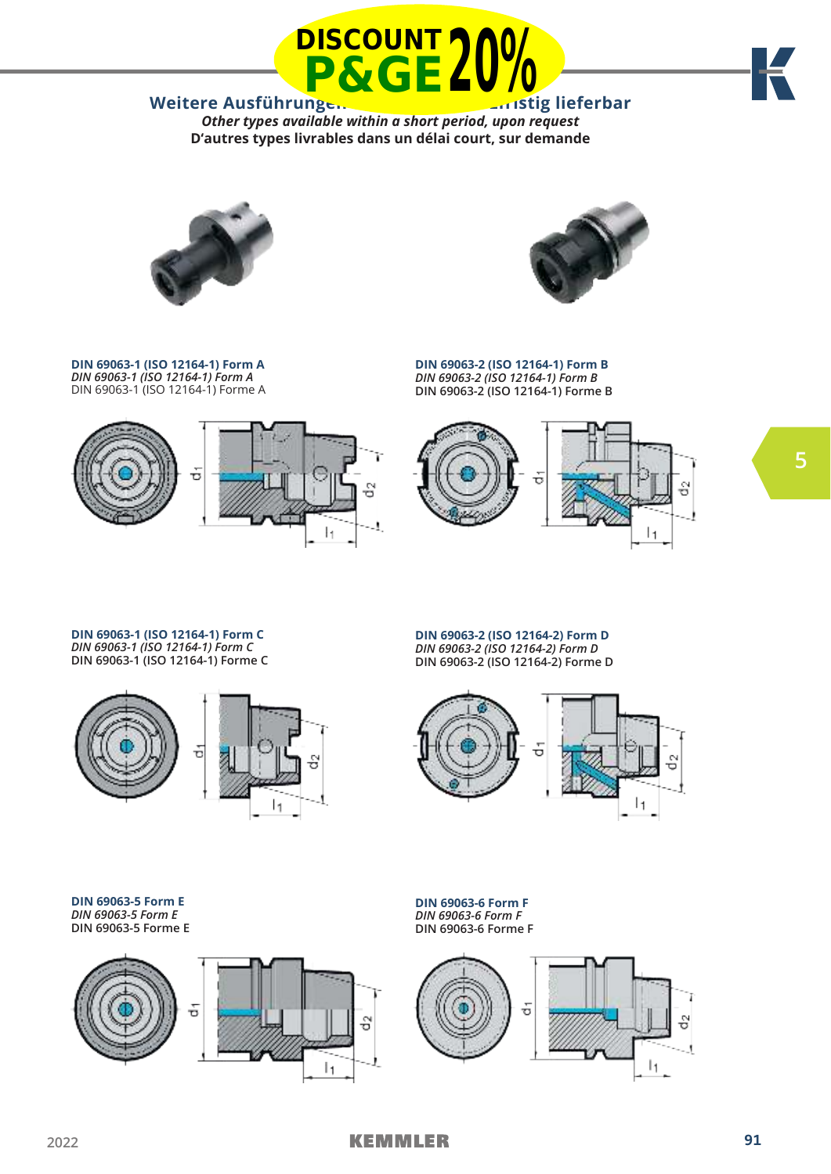



*Other types available within a short period, upon request* **D'autres types livrables dans un délai court, sur demande**



**DIN 69063-1 (ISO 12164-1) Form A**  *DIN 69063-1 (ISO 12164-1) Form A*  DIN 69063-1 (ISO 12164-1) Forme A



**DIN 69063-2 (ISO 12164-1) Form B**  *DIN 69063-2 (ISO 12164-1) Form B* **DIN 69063-2 (ISO 12164-1) Forme B**



**DIN 69063-1 (ISO 12164-1) Form C**  *DIN 69063-1 (ISO 12164-1) Form C* **DIN 69063-1 (ISO 12164-1) Forme C**



**DIN 69063-2 (ISO 12164-2) Form D**  *DIN 69063-2 (ISO 12164-2) Form D* **DIN 69063-2 (ISO 12164-2) Forme D**



**DIN 69063-5 Form E**  *DIN 69063-5 Form E* **DIN 69063-5 Forme E**



**DIN 69063-6 Form F**  *DIN 69063-6 Form F* **DIN 69063-6 Forme F** 

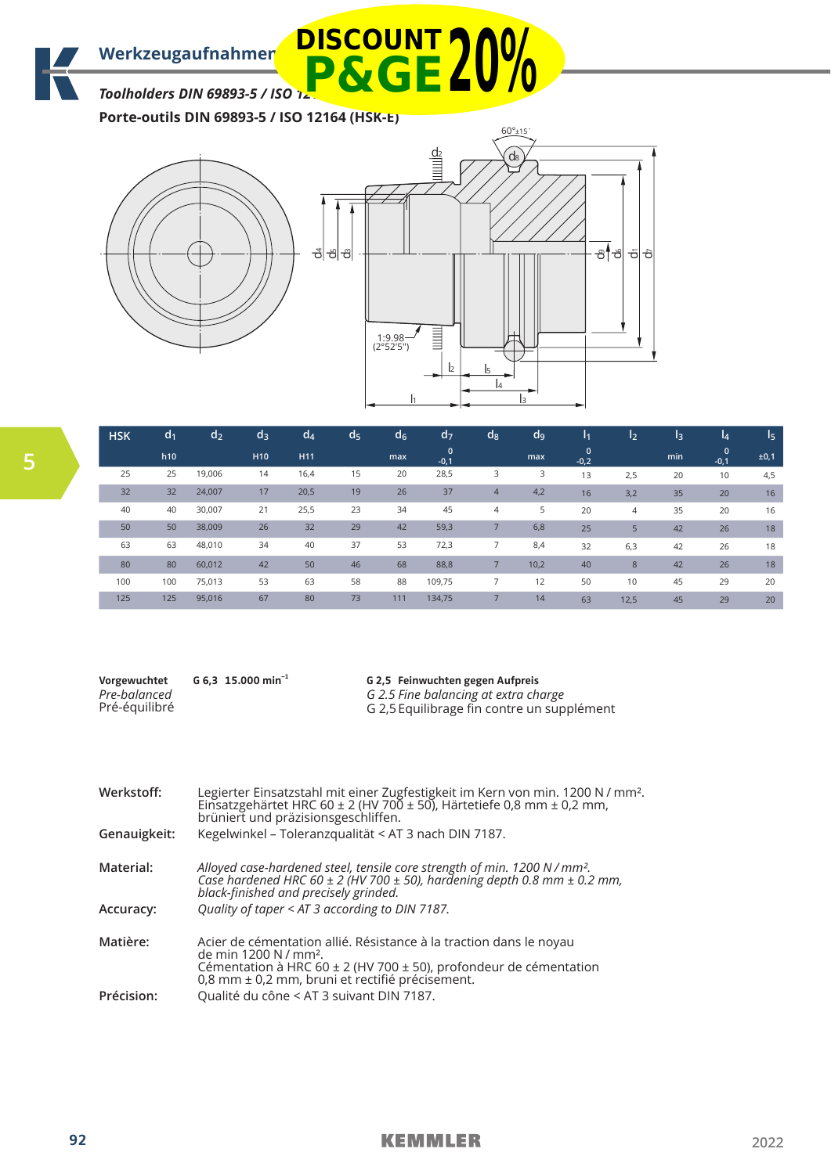*Toolholders DIN 69893-5 / ISO 12* **P&GE20%**

**Porte-outils DIN 69893-5 / ISO 12164 (HSK-E)**



| <b>HSK</b> | d <sub>1</sub> | d <sub>2</sub> | d <sub>3</sub>  | $d_4$           | d <sub>5</sub> | d <sub>6</sub> | $d_{7}$                | $\mathsf{d}_{8}$ | d <sub>9</sub> | /I1                | $\mathsf{I}_2$ | l3  | l4          | I5   |
|------------|----------------|----------------|-----------------|-----------------|----------------|----------------|------------------------|------------------|----------------|--------------------|----------------|-----|-------------|------|
|            | h10            |                | H <sub>10</sub> | H <sub>11</sub> |                | max            | $\mathbf{0}$<br>$-0,1$ |                  | max            | $\Omega$<br>$-0,2$ |                | min | 0<br>$-0,1$ | ±0,1 |
| 25         | 25             | 19,006         | 14              | 16,4            | 15             | 20             | 28,5                   | 3                | 3              | 13                 | 2,5            | 20  | 10          | 4,5  |
| 32         | 32             | 24,007         | 17              | 20,5            | 19             | 26             | 37                     | $\overline{4}$   | 4,2            | 16                 | 3,2            | 35  | 20          | 16   |
| 40         | 40             | 30,007         | 21              | 25,5            | 23             | 34             | 45                     | $\overline{4}$   | 5              | 20                 | 4              | 35  | 20          | 16   |
| 50         | 50             | 38,009         | 26              | 32              | 29             | 42             | 59,3                   |                  | 6,8            | 25                 | 5              | 42  | 26          | 18   |
| 63         | 63             | 48,010         | 34              | 40              | 37             | 53             | 72,3                   | 7                | 8,4            | 32                 | 6,3            | 42  | 26          | 18   |
| 80         | 80             | 60,012         | 42              | 50              | 46             | 68             | 88,8                   |                  | 10,2           | 40                 | 8              | 42  | 26          | 18   |
| 100        | 100            | 75,013         | 53              | 63              | 58             | 88             | 109,75                 | 7                | 12             | 50                 | 10             | 45  | 29          | 20   |
| 125        | 125            | 95,016         | 67              | 80              | 73             | 111            | 134,75                 |                  | 14             | 63                 | 12,5           | 45  | 29          | 20   |

**Vorgewuchtet** *Pre-balanced* Pré-équilibré **G 6,3 15.000 min–1**

**G 2,5 Feinwuchten gegen Aufpreis** *G 2.5 Fine balancing at extra charge* G 2,5 Equilibrage fin contre un supplément

| Werkstoff:   | Legierter Einsatzstahl mit einer Zugfestigkeit im Kern von min. 1200 N / mm <sup>2</sup> .<br>Einsatzgehärtet HRC 60 ± 2 (HV 700 ± 50), Härtetiefe 0,8 mm ± 0,2 mm,<br>brüniert und präzisionsgeschliffen.                      |
|--------------|---------------------------------------------------------------------------------------------------------------------------------------------------------------------------------------------------------------------------------|
| Genauigkeit: | Kegelwinkel - Toleranzqualität < AT 3 nach DIN 7187.                                                                                                                                                                            |
| Material:    | Alloyed case-hardened steel, tensile core strength of min. 1200 N / mm <sup>2</sup> .<br>Case hardened HRC 60 $\pm$ 2 (HV 700 $\pm$ 50), hardening depth 0.8 mm $\pm$ 0.2 mm,<br>black-finished and precisely grinded.          |
| Accuracy:    | Quality of taper < AT 3 according to DIN 7187.                                                                                                                                                                                  |
| Matière:     | Acier de cémentation allié. Résistance à la traction dans le noyau<br>de min 1200 N / mm <sup>2</sup> .<br>Cémentation à HRC 60 ± 2 (HV 700 ± 50), profondeur de cémentation<br>0,8 mm ± 0,2 mm, bruni et rectifié précisement. |
| Précision:   | Qualité du cône < AT 3 suivant DIN 7187.                                                                                                                                                                                        |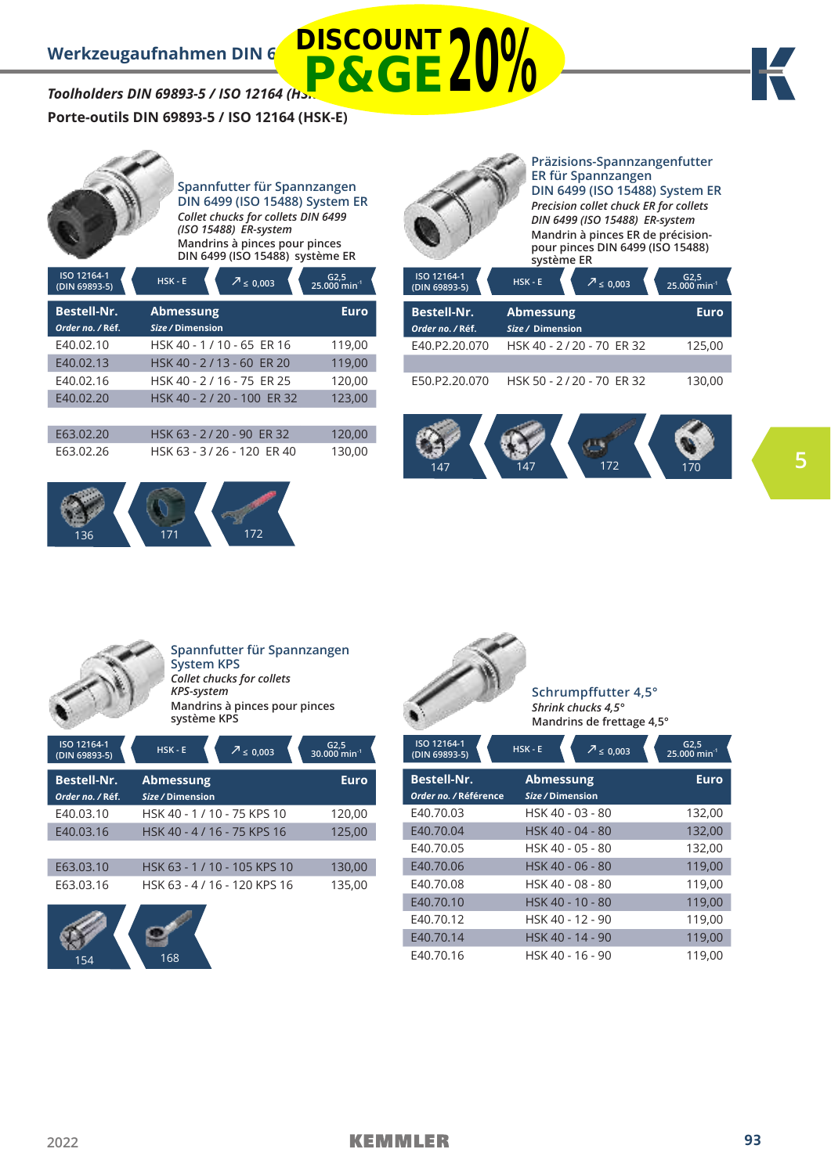*Toolholders DIN 69893-5 / ISO 12164 (HSK-E)* **Porte-outils DIN 69893-5 / ISO 12164 (HSK-E) P&GE20%**



**ISO 12164-1** 

**Spannfutter für Spannzangen DIN 6499 (ISO 15488) System ER** *Collet chucks for collets DIN 6499 (ISO 15488) ER-system* **Mandrins à pinces pour pinces** 

**DIN 6499 (ISO 15488) système ER**

| ISO 12164-1<br>(DIN 69893-5)           | $HSK - E$<br>$7 \le 0,003$           | $G2,5$<br>25.000 min <sup>-1</sup> |
|----------------------------------------|--------------------------------------|------------------------------------|
| <b>Bestell-Nr.</b><br>Order no. / Réf. | <b>Abmessung</b><br>Size / Dimension | Euro                               |
| E40.02.10                              | HSK 40 - 1 / 10 - 65 ER 16           | 119,00                             |
| E40.02.13                              | HSK 40 - 2/13 - 60 ER 20             | 119,00                             |
| E40.02.16                              | HSK 40 - 2 / 16 - 75 ER 25           | 120,00                             |
| E40.02.20                              | HSK 40 - 2 / 20 - 100 ER 32          | 123,00                             |
|                                        |                                      |                                    |
| E63.02.20                              | HSK 63 - 2/20 - 90 ER 32             | 120,00                             |
| E63.02.26                              | HSK 63 - 3/26 - 120 ER 40            | 130,00                             |





**DISCOUNT**

# **Präzisions-Spannzangenfutter ER für Spannzangen DIN 6499 (ISO 15488) System ER**

*Precision collet chuck ER for collets DIN 6499 (ISO 15488) ER-system* **Mandrin à pinces ER de précisionpour pinces DIN 6499 (ISO 15488) système ER**

| ISO 12164-1<br>(DIN 69893-5)           | $HSK - E$                            | $7 \le 0.003$            | $G2,5$<br>25.000 min <sup>-1</sup> |
|----------------------------------------|--------------------------------------|--------------------------|------------------------------------|
| <b>Bestell-Nr.</b><br>Order no. / Réf. | <b>Abmessung</b><br>Size / Dimension |                          | Euro                               |
| E40.P2.20.070                          |                                      | HSK 40 - 2/20 - 70 ER 32 | 125,00                             |
| E50.P2.20.070                          |                                      | HSK 50 - 2/20 - 70 ER 32 | 130.00                             |





154 168

**Spannfutter für Spannzangen System KPS** *Collet chucks for collets KPS-system* **Mandrins à pinces pour pinces système KPS**

| ISO 12164-1<br>(DIN 69893-5)  | $HSK - E$<br>$\sqrt{7} \le 0.003$    | $G2,5$<br>30.000 min <sup>-1</sup> |
|-------------------------------|--------------------------------------|------------------------------------|
| <b>Bestell-Nr.</b>            | <b>Abmessung</b><br>Size / Dimension | Euro                               |
| Order no. / Réf.<br>E40.03.10 | HSK 40 - 1 / 10 - 75 KPS 10          | 120,00                             |
| E40.03.16                     | HSK 40 - 4 / 16 - 75 KPS 16          | 125,00                             |
| E63.03.10                     | HSK 63 - 1/10 - 105 KPS 10           |                                    |
| E63.03.16                     | HSK 63 - 4 / 16 - 120 KPS 16         | 130,00<br>135,00                   |
|                               |                                      |                                    |
|                               |                                      |                                    |



| E40.70.03 | HSK 40 - 03 - 80 | 132,00 |
|-----------|------------------|--------|
| E40.70.04 | HSK 40 - 04 - 80 | 132,00 |
| E40.70.05 | HSK 40 - 05 - 80 | 132,00 |
| E40.70.06 | HSK 40 - 06 - 80 | 119,00 |
| E40.70.08 | HSK 40 - 08 - 80 | 119,00 |
| E40.70.10 | HSK 40 - 10 - 80 | 119,00 |
| E40.70.12 | HSK 40 - 12 - 90 | 119,00 |
| E40.70.14 | HSK 40 - 14 - 90 | 119,00 |
| E40.70.16 | HSK 40 - 16 - 90 | 119.00 |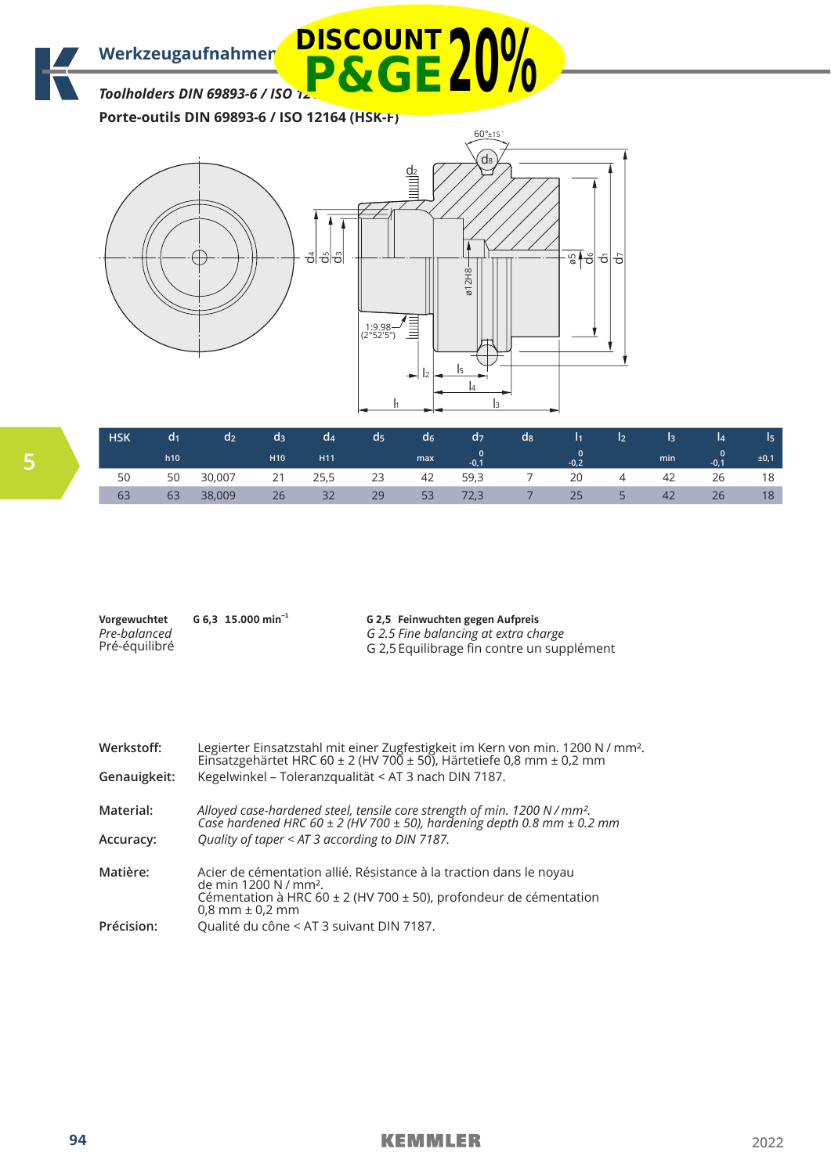Werkzeugaufnahmen **DISCOUNT 7 00/** 

*Toolholders DIN 69893-6 / ISO 12* **P&GE20%**

**Porte-outils DIN 69893-6 / ISO 12164 (HSK-F)**



| <b>HSK</b> | a <sub>1</sub> | a <sub>2</sub> | a3              | a4   | <b>a</b> | a <sub>6</sub> | d <sub>7</sub> | $\mathsf{d}_{8}$ | 11.    | 12     |     | l4     | $\sqrt{15}$ |
|------------|----------------|----------------|-----------------|------|----------|----------------|----------------|------------------|--------|--------|-----|--------|-------------|
|            | h10            |                | H <sub>10</sub> | H11  |          | max            | $-0.1$         |                  | $-0.2$ |        | min | $-0.1$ | ±0,1        |
| 50         | 50             | 30,007         | 21              | 25,5 | 23       | 42             | 59,3           |                  | 20     | 4      | 42  | 26     | 18          |
|            | 63             | 38,009         | 26              | 32   | 29       | 53             | 72,3           |                  | 25     | $\sim$ |     | 26     | 18          |

| Vorgewuchtet  | G 6.3 15.000 min <sup>-1</sup> | G 2,5 Feinwuchten gegen Aufpreis           |
|---------------|--------------------------------|--------------------------------------------|
| Pre-balanced  |                                | G 2.5 Fine balancing at extra charge       |
| Pré-équilibré |                                | G 2.5 Equilibrage fin contre un supplément |

| Werkstoff:<br>Genauigkeit: | Legierter Einsatzstahl mit einer Zugfestigkeit im Kern von min. 1200 N / mm <sup>2</sup> .<br>Einsatzgehärtet HRC 60 ± 2 (HV 700 ± 50), Härtetiefe 0,8 mm ± 0,2 mm<br>Kegelwinkel - Toleranzqualität < AT 3 nach DIN 7187. |
|----------------------------|----------------------------------------------------------------------------------------------------------------------------------------------------------------------------------------------------------------------------|
|                            |                                                                                                                                                                                                                            |
| Material:                  | Alloyed case-hardened steel, tensile core strength of min. 1200 N / mm <sup>2</sup> .<br>Case hardened HRC 60 ± 2 (HV 700 ± 50), hardening depth 0.8 mm ± 0.2 mm                                                           |
| Accuracy:                  | Quality of taper < AT 3 according to DIN 7187.                                                                                                                                                                             |
| Matière:                   | Acier de cémentation allié. Résistance à la traction dans le noyau<br>de min 1200 N / mm <sup>2</sup> .                                                                                                                    |
|                            | Cémentation à HRC 60 $\pm$ 2 (HV 700 $\pm$ 50), profondeur de cémentation<br>$0.8$ mm $\pm 0.2$ mm                                                                                                                         |
| Précision:                 | Qualité du cône < AT 3 suivant DIN 7187.                                                                                                                                                                                   |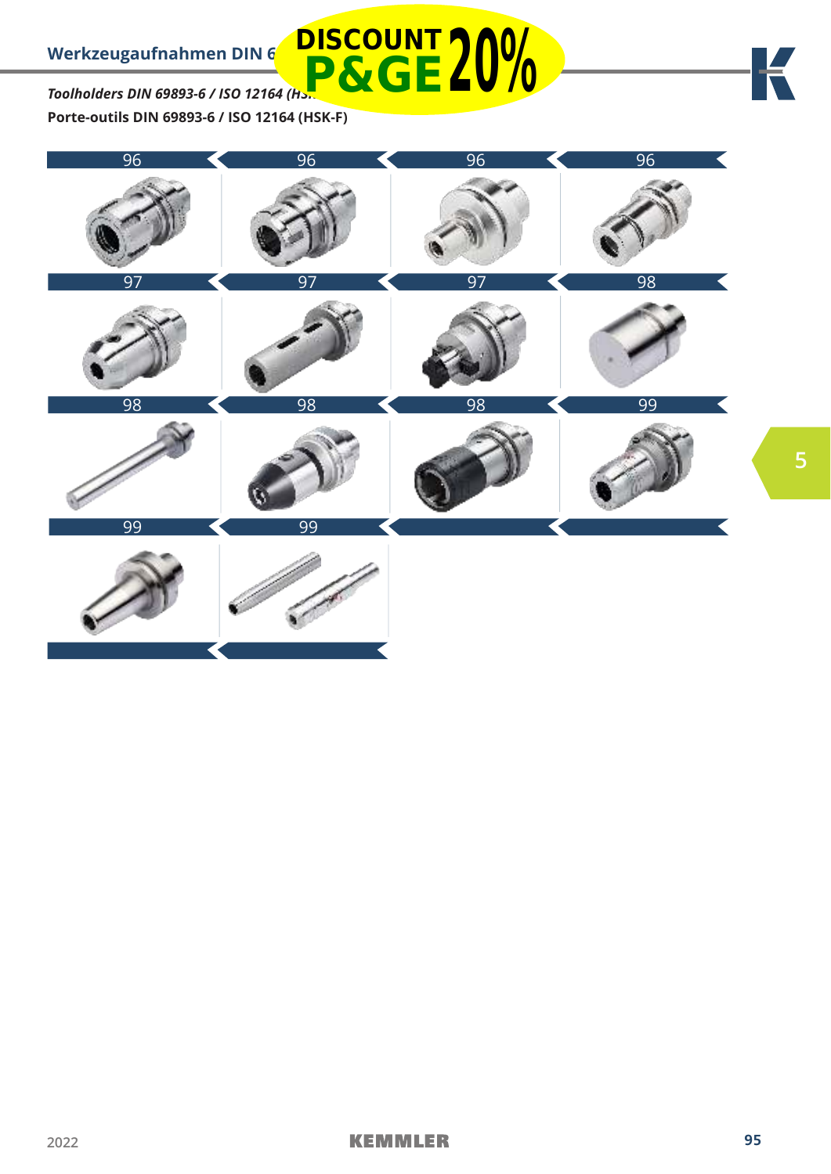*Toolholders DIN 69893-6 / ISO 12164 (HSK-F)* **Porte-outils DIN 69893-6 / ISO 12164 (HSK-F) P&GE20%**



**DISCOUNT**

**5**

K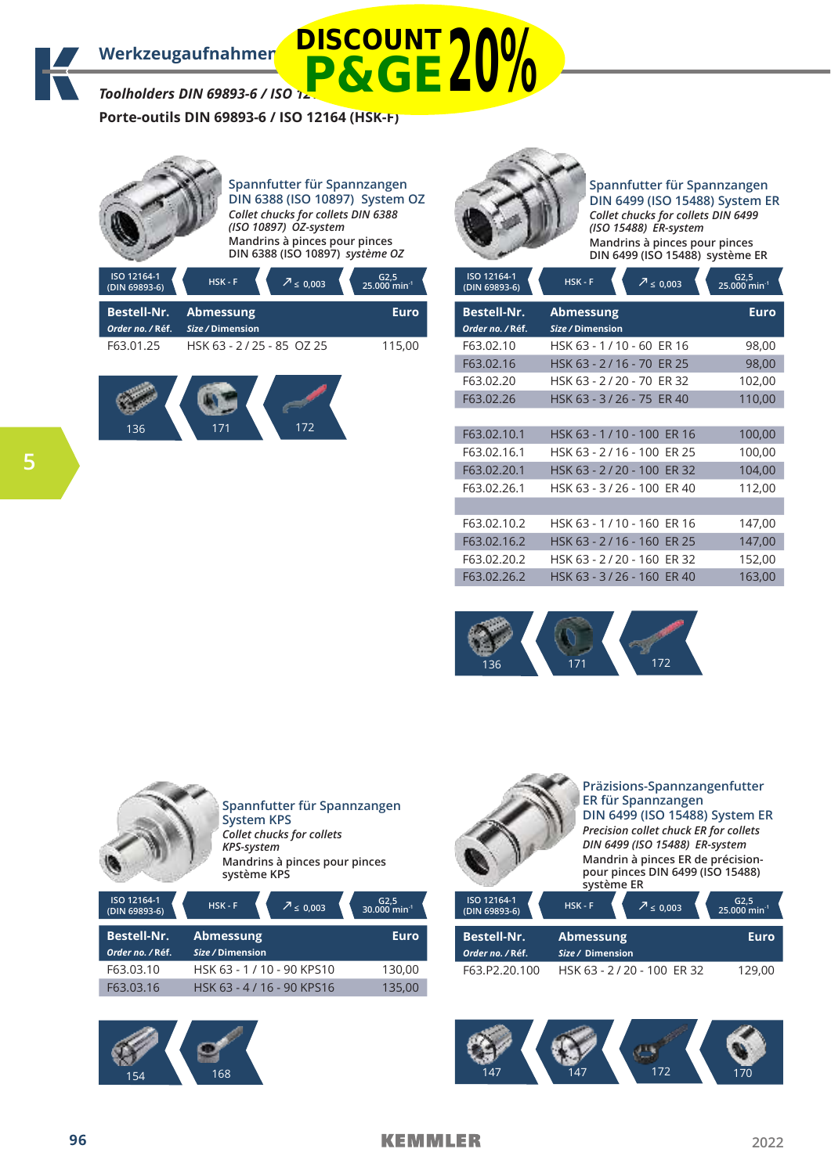Werkzeugaufnahmen **DISCOUNT 7 00/** 

*Toolholders DIN 69893-6 / ISO 1.* 

**Porte-outils DIN 69893-6 / ISO 12164 (HSK-F)**



**Spannfutter für Spannzangen DIN 6388 (ISO 10897) System OZ** *Collet chucks for collets DIN 6388 (ISO 10897) OZ-system* **Mandrins à pinces pour pinces DIN 6388 (ISO 10897)** *système OZ*

**P&GE20%**

| $HSK-F$<br>$7 \le 0,003$ | G2,5<br>25.000 min <sup>-1</sup> |
|--------------------------|----------------------------------|
| <b>Abmessung</b>         | Euro                             |
| Size / Dimension         |                                  |
| HSK 63 - 2/25 - 85 OZ 25 | 115,00                           |
|                          |                                  |
|                          |                                  |





# **Spannfutter für Spannzangen DIN 6499 (ISO 15488) System ER** *Collet chucks for collets DIN 6499 (ISO 15488) ER-system* **Mandrins à pinces pour pinces**

| ISO 12164-1<br>(DIN 69893-6)           | $HSK-F$<br>$\sqrt{2}$ ≤ 0,003        | $G2,5$<br>25.000 min <sup>-1</sup> |
|----------------------------------------|--------------------------------------|------------------------------------|
| <b>Bestell-Nr.</b><br>Order no. / Réf. | <b>Abmessung</b><br>Size / Dimension | <b>Euro</b>                        |
| F63.02.10                              | HSK 63 - 1/10 - 60 ER 16             | 98,00                              |
| F63.02.16                              | HSK 63 - 2/16 - 70 ER 25             | 98,00                              |
| F63.02.20                              | HSK 63 - 2 / 20 - 70<br>ER 32        | 102,00                             |
| F63.02.26                              | HSK 63 - 3/26 - 75 ER 40             | 110,00                             |
|                                        |                                      |                                    |
| F63.02.10.1                            | HSK 63 - 1 / 10 - 100 ER 16          | 100,00                             |
| F63.02.16.1                            | HSK 63 - 2/16 - 100 ER 25            | 100,00                             |
| F63.02.20.1                            | HSK 63 - 2/20 - 100 ER 32            | 104,00                             |
| F63.02.26.1                            | HSK 63 - 3/26 - 100 ER 40            | 112,00                             |
|                                        |                                      |                                    |
| F63.02.10.2                            | HSK 63 - 1 / 10 - 160 ER 16          | 147,00                             |
| F63.02.16.2                            | HSK 63 - 2/16 - 160 ER 25            | 147,00                             |
| F63.02.20.2                            | HSK 63 - 2/20 - 160 ER 32            | 152,00                             |
| F63.02.26.2                            | HSK 63 - 3 / 26 - 160 ER 40          | 163,00                             |









**Präzisions-Spannzangenfutter ER für Spannzangen DIN 6499 (ISO 15488) System ER** *Precision collet chuck ER for collets* 

*DIN 6499 (ISO 15488) ER-system* **Mandrin à pinces ER de précisionpour pinces DIN 6499 (ISO 15488) système ER**

| ISO 12164-1<br>(DIN 69893-6)           | $HSK - F$                            | $7 \le 0.003$             | $G2,5$<br>25.000 min <sup>-1</sup> |
|----------------------------------------|--------------------------------------|---------------------------|------------------------------------|
| <b>Bestell-Nr.</b><br>Order no. / Réf. | <b>Abmessung</b><br>Size / Dimension | Euro                      |                                    |
| F63.P2.20.100                          |                                      | HSK 63 - 2/20 - 100 ER 32 |                                    |

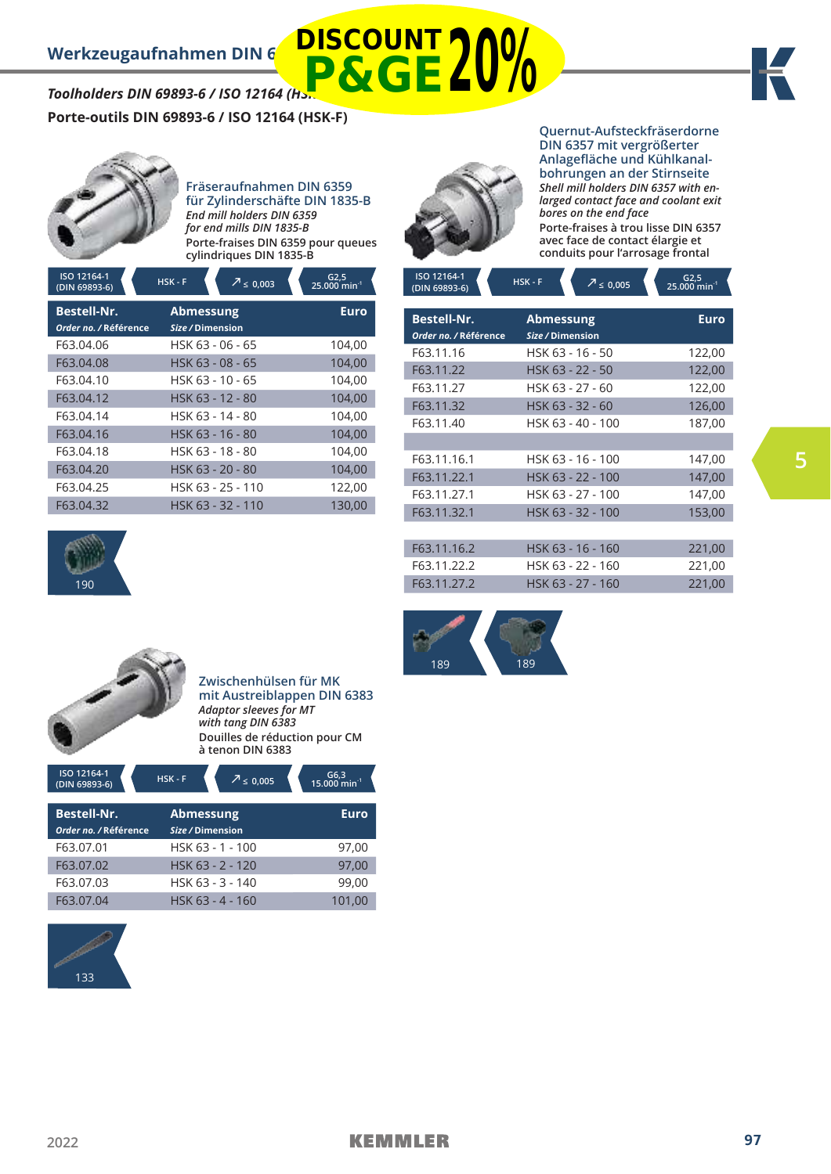# Werkzeugaufnahmen DIN 6 **DISCOUNT** *Toolholders DIN 69893-6 / ISO 12164 (HSK-F)* **P&GE20%**



**Porte-outils DIN 69893-6 / ISO 12164 (HSK-F)**



### **Fräseraufnahmen DIN 6359 für Zylinderschäfte DIN 1835-B** *End mill holders DIN 6359 for end mills DIN 1835-B* **Porte-fraises DIN 6359 pour queues cylindriques DIN 1835-B**

**ICO 1216** 

**Quernut-Aufsteckfräserdorne DIN 6357 mit vergrößerter Anlagefläche und Kühlkanalbohrungen an der Stirnseite** *Shell mill holders DIN 6357 with enlarged contact face and coolant exit bores on the end face* **Porte-fraises à trou lisse DIN 6357 avec face de contact élargie et conduits pour l'arrosage frontal**

| ISO 12164-1<br>(DIN 69893-6)                | <u>HSK - F</u> | $\sqrt{2} \leq 0,003$                | $G2,5$<br>25.000 min <sup>-1</sup> |
|---------------------------------------------|----------------|--------------------------------------|------------------------------------|
| <b>Bestell-Nr.</b><br>Order no. / Référence |                | <b>Abmessung</b><br>Size / Dimension | <b>Euro</b>                        |
| F63.04.06                                   |                | HSK 63 - 06 - 65                     | 104,00                             |
| F63.04.08                                   |                | HSK 63 - 08 - 65                     | 104,00                             |
| F63.04.10                                   |                | HSK 63 - 10 - 65                     | 104,00                             |
| F63.04.12                                   |                | HSK 63 - 12 - 80                     | 104,00                             |
| F63.04.14                                   |                | HSK 63 - 14 - 80                     | 104,00                             |
| F63.04.16                                   |                | HSK 63 - 16 - 80                     | 104,00                             |
| F63.04.18                                   |                | HSK 63 - 18 - 80                     | 104,00                             |
| F63.04.20                                   |                | HSK 63 - 20 - 80                     | 104,00                             |
| F63.04.25                                   |                | HSK 63 - 25 - 110                    | 122.00                             |
| F63.04.32                                   |                | HSK 63 - 32 - 110                    | 130,00                             |





**Zwischenhülsen für MK mit Austreiblappen DIN 6383**  *Adaptor sleeves for MT with tang DIN 6383* **Douilles de réduction pour CM à tenon DIN 6383**

| ISO 12164-1<br>(DIN 69893-6) | $HSK-F$<br>$\sqrt{2} \leq 0,005$ | $G6,3$<br>15.000 min <sup>-1</sup> |
|------------------------------|----------------------------------|------------------------------------|
| <b>Bestell-Nr.</b>           | <b>Abmessung</b>                 | Euro                               |
| Order no. / Référence        | Size / Dimension                 |                                    |
| F63.07.01                    | HSK 63 - 1 - 100                 | 97.00                              |
| F63.07.02                    | HSK 63 - 2 - 120                 | 97.00                              |
| F63.07.03                    | HSK 63 - 3 - 140                 | 99,00                              |
| F63.07.04                    | HSK 63 - 4 - 160                 | 101.00                             |



| ISO 12164-1<br>(DIN 69893-6)                | $HSK-F$<br>$\sqrt{7} \leq 0,005$     | $G2,5$<br>25.000 min <sup>-1</sup> |
|---------------------------------------------|--------------------------------------|------------------------------------|
| <b>Bestell-Nr.</b><br>Order no. / Référence | <b>Abmessung</b><br>Size / Dimension | <b>Euro</b>                        |
| F63.11.16                                   | HSK 63 - 16 - 50                     | 122,00                             |
| F63.11.22                                   | HSK 63 - 22 - 50                     | 122,00                             |
| F63.11.27                                   | HSK 63 - 27 - 60                     | 122,00                             |
| F63.11.32                                   | HSK 63 - 32 - 60                     | 126,00                             |
| F63.11.40                                   | HSK 63 - 40 - 100                    | 187,00                             |
|                                             |                                      |                                    |
| F63.11.16.1                                 | HSK 63 - 16 - 100                    | 147,00                             |
| F63.11.22.1                                 | HSK 63 - 22 - 100                    | 147,00                             |
| F63.11.27.1                                 | HSK 63 - 27 - 100                    | 147,00                             |
| F63.11.32.1                                 | HSK 63 - 32 - 100                    | 153,00                             |
|                                             |                                      |                                    |
| F63.11.16.2                                 | HSK 63 - 16 - 160                    | 221,00                             |
| F63.11.22.2                                 | HSK 63 - 22 - 160                    | 221,00                             |
| F63.11.27.2                                 | HSK 63 - 27 - 160                    | 221,00                             |
|                                             |                                      |                                    |

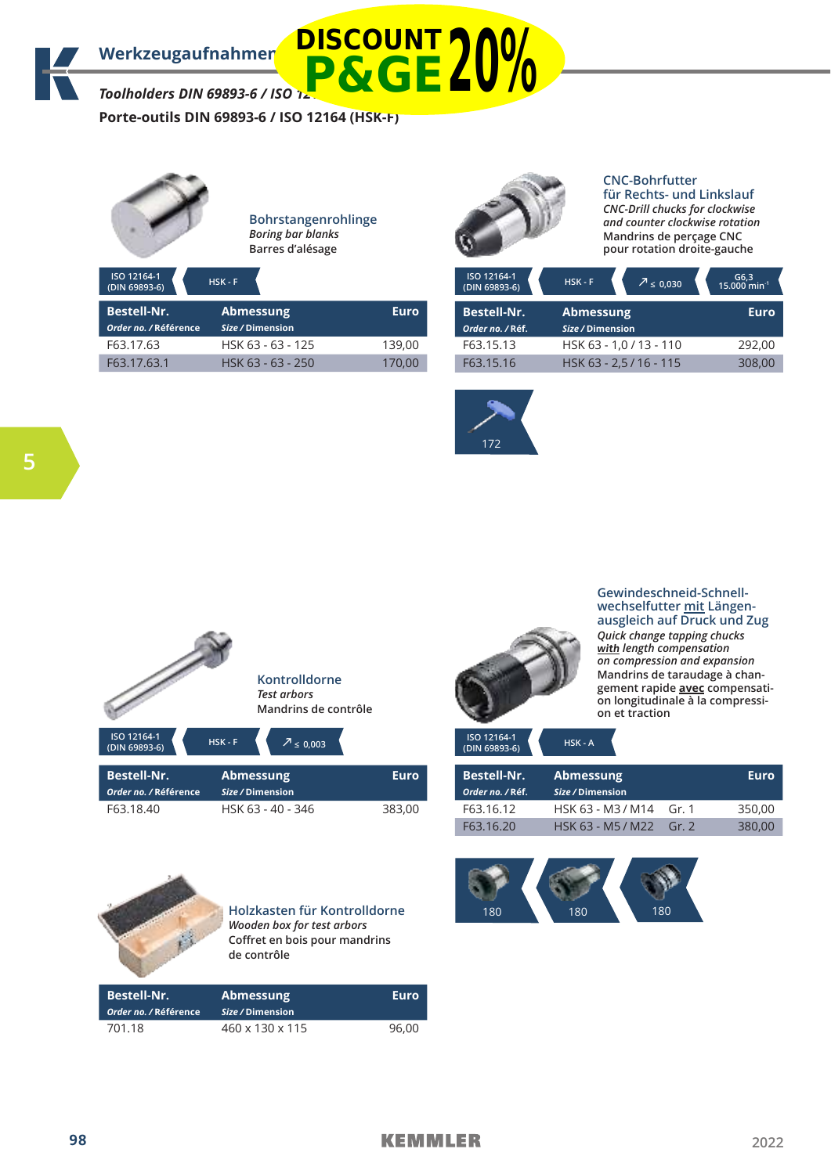*Toolholders DIN 69893-6 / ISO 12164 (HSK-F)* **P&GE20%**

**Porte-outils DIN 69893-6 / ISO 12164 (HSK-F)**



**Bohrstangenrohlinge**  *Boring bar blanks*  **Barres d'alésage** 



# **CNC-Bohrfutter**

**für Rechts- und Linkslauf** *CNC-Drill chucks for clockwise and counter clockwise rotation* **Mandrins de perçage CNC pour rotation droite-gauche**

| ISO 12164-1<br>(DIN 69893-6)                | $HSK - F$                            |             | ISO 12164-1<br>(DIN 69893-6)           | $\sqrt{2} \leq 0.030$<br>$HSK - F$   | $G6,3$<br>15.000 min <sup>-1</sup> |
|---------------------------------------------|--------------------------------------|-------------|----------------------------------------|--------------------------------------|------------------------------------|
| <b>Bestell-Nr.</b><br>Order no. / Référence | <b>Abmessung</b><br>Size / Dimension | <b>Euro</b> | <b>Bestell-Nr.</b><br>Order no. / Réf. | <b>Abmessung</b><br>Size / Dimension | <b>Euro</b>                        |
| F63.17.63                                   | HSK 63 - 63 - 125                    | 139.00      | F63.15.13                              | HSK 63 - 1,0 / 13 - 110              | 292,00                             |
| F63.17.63.1                                 | HSK 63 - 63 - 250                    | 170,00      | F63.15.16                              | HSK 63 - 2.5 / 16 - 115              | 308,00                             |



|                                             | Kontrolldorne<br><b>Test arbors</b><br>Mandrins de contrôle |      |
|---------------------------------------------|-------------------------------------------------------------|------|
| ISO 12164-1<br>(DIN 69893-6)                | HSK-F<br>$\sqrt{2} \leq 0,003$                              |      |
| <b>Bestell-Nr.</b><br>Order no. / Référence | Abmessung<br>Size / Dimension                               | Euro |

F63.18.40 HSK 63 - 40 - 346 383.00



**Gewindeschneid-Schnellwechselfutter mit Längenausgleich auf Druck und Zug** *Quick change tapping chucks*  **with** *length compensation on compression and expansion* **Mandrins de taraudage à changement rapide avec compensation longitudinale à la compression et traction**

| HSK - A |
|---------|
|         |

| <b>Bestell-Nr.</b><br>Order no. / Réf. | Abmessung<br>Size / Dimension |       | Euro   |
|----------------------------------------|-------------------------------|-------|--------|
| F63.16.12                              | HSK 63 - M3 / M14             | Gr. 1 | 350.00 |
| F63.16.20                              | HSK 63 - M5 / M22             | Gr.2  | 380,00 |



**Holzkasten für Kontrolldorne** *Wooden box for test arbors* **Coffret en bois pour mandrins de contrôle**

| <b>Bestell-Nr.</b><br>Order no. / Référence | <b>Abmessung</b><br>Size / Dimension | Euro  |
|---------------------------------------------|--------------------------------------|-------|
| 701.18                                      | 460 x 130 x 115                      | 96.00 |